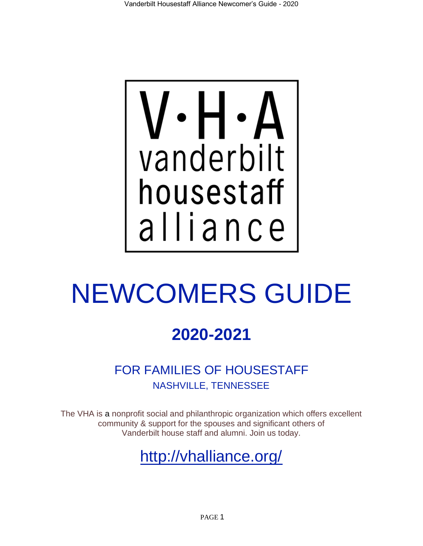

# NEWCOMERS GUIDE

## **2020-2021**

FOR FAMILIES OF HOUSESTAFF NASHVILLE, TENNESSEE

The VHA is a nonprofit social and philanthropic organization which offers excellent community & support for the spouses and significant others of Vanderbilt house staff and alumni. Join us today.

<http://vhalliance.org/>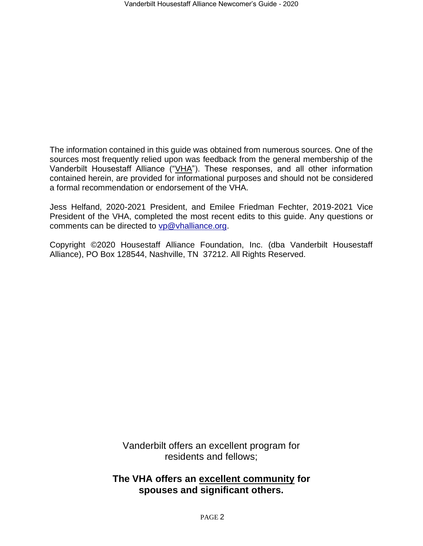The information contained in this guide was obtained from numerous sources. One of the sources most frequently relied upon was feedback from the general membership of the Vanderbilt Housestaff Alliance ("VHA"). These responses, and all other information contained herein, are provided for informational purposes and should not be considered a formal recommendation or endorsement of the VHA.

Jess Helfand, 2020-2021 President, and Emilee Friedman Fechter, 2019-2021 Vice President of the VHA, completed the most recent edits to this guide. Any questions or comments can be directed to [vp@vhalliance.org.](mailto:vp@vhalliance.org)

Copyright ©2020 Housestaff Alliance Foundation, Inc. (dba Vanderbilt Housestaff Alliance), PO Box 128544, Nashville, TN 37212. All Rights Reserved.

> Vanderbilt offers an excellent program for residents and fellows;

### **The VHA offers an excellent community for spouses and significant others.**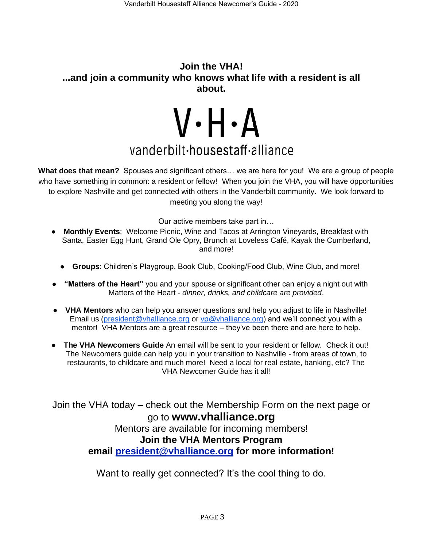### **Join the VHA! ...and join a community who knows what life with a resident is all about.**

# $V \cdot H \cdot A$ vanderbilt-housestaff-alliance

**What does that mean?** Spouses and significant others… we are here for you! We are a group of people who have something in common: a resident or fellow! When you join the VHA, you will have opportunities to explore Nashville and get connected with others in the Vanderbilt community. We look forward to meeting you along the way!

Our active members take part in…

- **Monthly Events**: Welcome Picnic, Wine and Tacos at Arrington Vineyards, Breakfast with Santa, Easter Egg Hunt, Grand Ole Opry, Brunch at Loveless Café, Kayak the Cumberland, and more!
	- **Groups**: Children's Playgroup, Book Club, Cooking/Food Club, Wine Club, and more!
- **"Matters of the Heart"** you and your spouse or significant other can enjoy a night out with Matters of the Heart - *dinner, drinks, and childcare are provided*.
- **VHA Mentors** who can help you answer questions and help you adjust to life in Nashville! Email us [\(president@vhalliance.org](mailto:president@vhalliance.org) or vp@vhalliance.org) and we'll connect you with a mentor! VHA Mentors are a great resource – they've been there and are here to help.
- **The VHA Newcomers Guide** An email will be sent to your resident or fellow. Check it out! The Newcomers guide can help you in your transition to Nashville - from areas of town, to restaurants, to childcare and much more! Need a local for real estate, banking, etc? The VHA Newcomer Guide has it all!

Join the VHA today – check out the Membership Form on the next page or go to **www.vhalliance.org**

> Mentors are available for incoming members! **Join the VHA Mentors Program**

**email [president@vhalliance.org](mailto:president@vhalliance.org) for more information!**

Want to really get connected? It's the cool thing to do.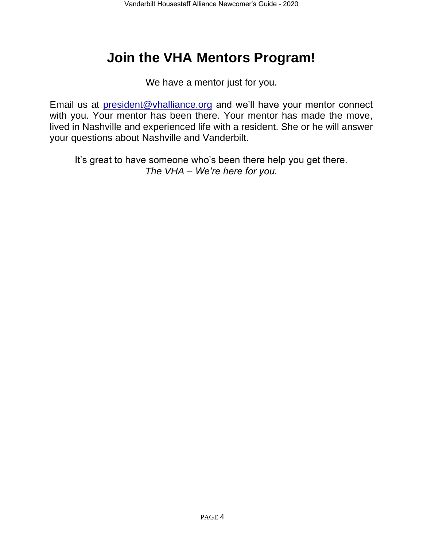## **Join the VHA Mentors Program!**

We have a mentor just for you.

Email us at [president@vhalliance.org](mailto:president@vhalliance.org) and we'll have your mentor connect with you. Your mentor has been there. Your mentor has made the move, lived in Nashville and experienced life with a resident. She or he will answer your questions about Nashville and Vanderbilt.

It's great to have someone who's been there help you get there. *The VHA – We're here for you.*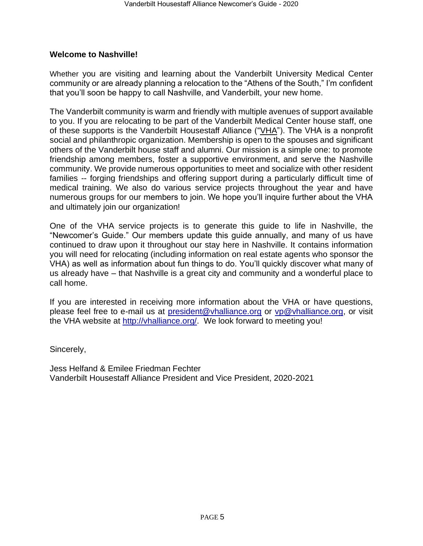### **Welcome to Nashville!**

Whether you are visiting and learning about the Vanderbilt University Medical Center community or are already planning a relocation to the "Athens of the South," I'm confident that you'll soon be happy to call Nashville, and Vanderbilt, your new home.

The Vanderbilt community is warm and friendly with multiple avenues of support available to you. If you are relocating to be part of the Vanderbilt Medical Center house staff, one of these supports is the Vanderbilt Housestaff Alliance ("VHA"). The VHA is a nonprofit social and philanthropic organization. Membership is open to the spouses and significant others of the Vanderbilt house staff and alumni. Our mission is a simple one: to promote friendship among members, foster a supportive environment, and serve the Nashville community. We provide numerous opportunities to meet and socialize with other resident families -- forging friendships and offering support during a particularly difficult time of medical training. We also do various service projects throughout the year and have numerous groups for our members to join. We hope you'll inquire further about the VHA and ultimately join our organization!

One of the VHA service projects is to generate this guide to life in Nashville, the "Newcomer's Guide." Our members update this guide annually, and many of us have continued to draw upon it throughout our stay here in Nashville. It contains information you will need for relocating (including information on real estate agents who sponsor the VHA) as well as information about fun things to do. You'll quickly discover what many of us already have – that Nashville is a great city and community and a wonderful place to call home.

If you are interested in receiving more information about the VHA or have questions, please feel free to e-mail us at [president@vhalliance.org](mailto:president@vhalliance.org) or [vp@vhalliance.org,](mailto:vp@vhalliance.org) or visit the VHA website at [http://vhalliance.org/.](http://vhalliance.org/) We look forward to meeting you!

Sincerely,

Jess Helfand & Emilee Friedman Fechter Vanderbilt Housestaff Alliance President and Vice President, 2020-2021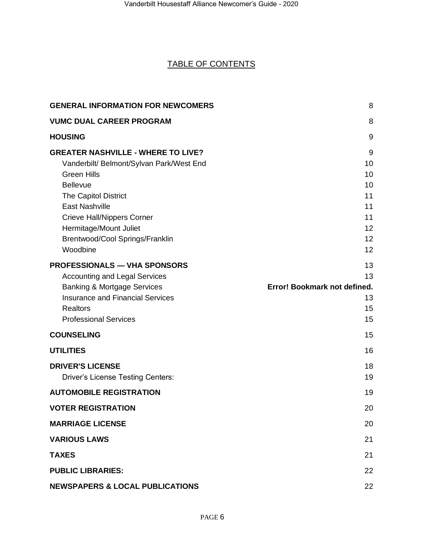### TABLE OF CONTENTS

| <b>GENERAL INFORMATION FOR NEWCOMERS</b>                                                                                                                                                                                                                                                             | 8                                                          |
|------------------------------------------------------------------------------------------------------------------------------------------------------------------------------------------------------------------------------------------------------------------------------------------------------|------------------------------------------------------------|
| <b>VUMC DUAL CAREER PROGRAM</b>                                                                                                                                                                                                                                                                      | 8                                                          |
| <b>HOUSING</b>                                                                                                                                                                                                                                                                                       | 9                                                          |
| <b>GREATER NASHVILLE - WHERE TO LIVE?</b><br>Vanderbilt/ Belmont/Sylvan Park/West End<br><b>Green Hills</b><br><b>Bellevue</b><br><b>The Capitol District</b><br><b>East Nashville</b><br><b>Crieve Hall/Nippers Corner</b><br>Hermitage/Mount Juliet<br>Brentwood/Cool Springs/Franklin<br>Woodbine | 9<br>10<br>10<br>10<br>11<br>11<br>11<br>12<br>12<br>12    |
| <b>PROFESSIONALS — VHA SPONSORS</b><br><b>Accounting and Legal Services</b><br><b>Banking &amp; Mortgage Services</b><br><b>Insurance and Financial Services</b><br><b>Realtors</b><br><b>Professional Services</b>                                                                                  | 13<br>13<br>Error! Bookmark not defined.<br>13<br>15<br>15 |
| <b>COUNSELING</b>                                                                                                                                                                                                                                                                                    | 15                                                         |
| <b>UTILITIES</b>                                                                                                                                                                                                                                                                                     | 16                                                         |
| <b>DRIVER'S LICENSE</b><br><b>Driver's License Testing Centers:</b>                                                                                                                                                                                                                                  | 18<br>19                                                   |
| <b>AUTOMOBILE REGISTRATION</b>                                                                                                                                                                                                                                                                       | 19                                                         |
| <b>VOTER REGISTRATION</b>                                                                                                                                                                                                                                                                            | 20                                                         |
| <b>MARRIAGE LICENSE</b>                                                                                                                                                                                                                                                                              | 20                                                         |
| <b>VARIOUS LAWS</b>                                                                                                                                                                                                                                                                                  | 21                                                         |
| <b>TAXES</b>                                                                                                                                                                                                                                                                                         | 21                                                         |
| <b>PUBLIC LIBRARIES:</b>                                                                                                                                                                                                                                                                             | 22                                                         |
| <b>NEWSPAPERS &amp; LOCAL PUBLICATIONS</b>                                                                                                                                                                                                                                                           | 22                                                         |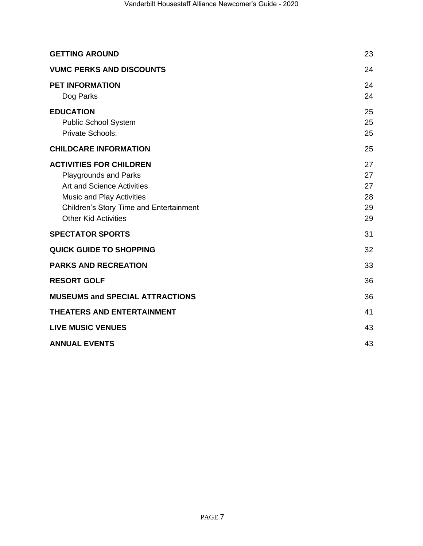| <b>GETTING AROUND</b>                                                                                                                                                                                      | 23                               |
|------------------------------------------------------------------------------------------------------------------------------------------------------------------------------------------------------------|----------------------------------|
| <b>VUMC PERKS AND DISCOUNTS</b>                                                                                                                                                                            | 24                               |
| <b>PET INFORMATION</b><br>Dog Parks                                                                                                                                                                        | 24<br>24                         |
| <b>EDUCATION</b><br><b>Public School System</b><br>Private Schools:                                                                                                                                        | 25<br>25<br>25                   |
| <b>CHILDCARE INFORMATION</b>                                                                                                                                                                               | 25                               |
| <b>ACTIVITIES FOR CHILDREN</b><br><b>Playgrounds and Parks</b><br><b>Art and Science Activities</b><br>Music and Play Activities<br>Children's Story Time and Entertainment<br><b>Other Kid Activities</b> | 27<br>27<br>27<br>28<br>29<br>29 |
| <b>SPECTATOR SPORTS</b>                                                                                                                                                                                    | 31                               |
| <b>QUICK GUIDE TO SHOPPING</b>                                                                                                                                                                             | 32                               |
| <b>PARKS AND RECREATION</b>                                                                                                                                                                                | 33                               |
| <b>RESORT GOLF</b>                                                                                                                                                                                         | 36                               |
| <b>MUSEUMS and SPECIAL ATTRACTIONS</b>                                                                                                                                                                     | 36                               |
| <b>THEATERS AND ENTERTAINMENT</b>                                                                                                                                                                          | 41                               |
| <b>LIVE MUSIC VENUES</b>                                                                                                                                                                                   | 43                               |
| <b>ANNUAL EVENTS</b>                                                                                                                                                                                       | 43                               |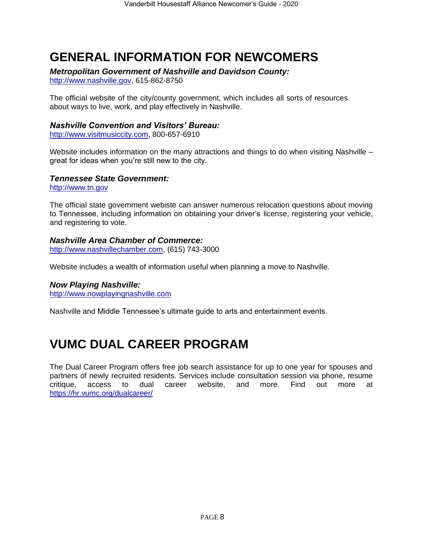## <span id="page-7-0"></span>**GENERAL INFORMATION FOR NEWCOMERS**

*Metropolitan Government of Nashville and Davidson County:*

[http://www.nashville.gov,](http://www.nashville.gov/) 615-862-8750

The official website of the city/county government, which includes all sorts of resources about ways to live, work, and play effectively in Nashville.

### *Nashville Convention and Visitors' Bureau:*

[http://www.visitmusiccity.com,](http://www.visitmusiccity.com/) 800-657-6910

Website includes information on the many attractions and things to do when visiting Nashville – great for ideas when you're still new to the city.

### *Tennessee State Government:*

[http://www.tn.gov](http://www.tn.gov/)

The official state government webiste can answer numerous relocation questions about moving to Tennessee, including information on obtaining your driver's license, registering your vehicle, and registering to vote.

### *Nashville Area Chamber of Commerce:*

[http://www.nashvillechamber.com,](http://www.nashvillechamber.com/) (615) 743-3000

Website includes a wealth of information useful when planning a move to Nashville.

### *Now Playing Nashville:*

[http://www.nowplayingnashville.com](http://www.nowplayingnashville.com/)

Nashville and Middle Tennessee's ultimate guide to arts and entertainment events.

## <span id="page-7-1"></span>**VUMC DUAL CAREER PROGRAM**

The Dual Career Program offers free job search assistance for up to one year for spouses and partners of newly recruited residents. Services include consultation session via phone, resume critique, access to dual career website, and more. Find out more at <https://hr.vumc.org/dualcareer/>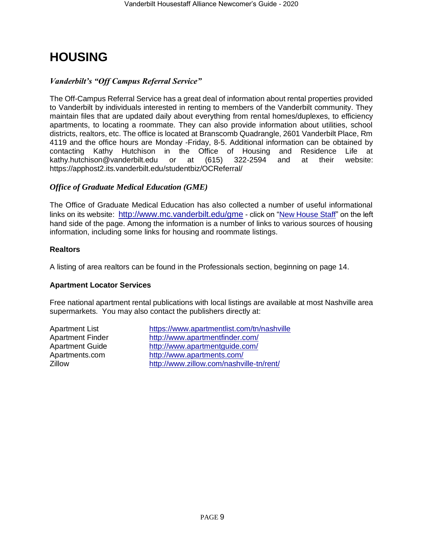## <span id="page-8-0"></span>**HOUSING**

### *Vanderbilt's "Off Campus Referral Service"*

The Off-Campus Referral Service has a great deal of information about rental properties provided to Vanderbilt by individuals interested in renting to members of the Vanderbilt community. They maintain files that are updated daily about everything from rental homes/duplexes, to efficiency apartments, to locating a roommate. They can also provide information about utilities, school districts, realtors, etc. The office is located at Branscomb Quadrangle, 2601 Vanderbilt Place, Rm 4119 and the office hours are Monday -Friday, 8-5. Additional information can be obtained by contacting Kathy Hutchison in the Office of Housing and Residence Life at kathy.hutchison@vanderbilt.edu or at (615) 322-2594 and at their website: [kathy.hutchison@vanderbilt.edu](mailto:kathy.hutchison@vanderbilt.edu) or at (615) 322-2594 and at their website: <https://apphost2.its.vanderbilt.edu/studentbiz/OCReferral/>

### *Office of Graduate Medical Education (GME)*

The Office of Graduate Medical Education has also collected a number of useful informational links on its website: <http://www.mc.vanderbilt.edu/gme> - click on ["New House Staff"](http://www.mc.vanderbilt.edu/root/vumc.php?site=gme&doc=20376) on the left hand side of the page. Among the information is a number of links to various sources of housing information, including some links for housing and roommate listings.

### **Realtors**

A listing of area realtors can be found in the Professionals section, beginning on page 14.

### **Apartment Locator Services**

Free national apartment rental publications with local listings are available at most Nashville area supermarkets. You may also contact the publishers directly at:

<span id="page-8-1"></span>

Apartment List <https://www.apartmentlist.com/tn/nashville> Apartment Finder <http://www.apartmentfinder.com/> Apartment Guide <http://www.apartmentguide.com/> Apartments.com <http://www.apartments.com/> Zillow <http://www.zillow.com/nashville-tn/rent/>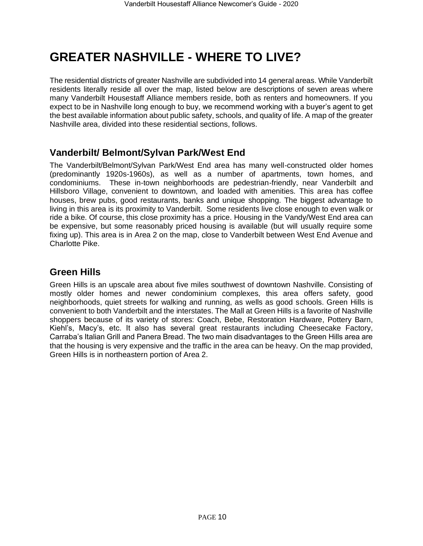## **GREATER NASHVILLE - WHERE TO LIVE?**

The residential districts of greater Nashville are subdivided into 14 general areas. While Vanderbilt residents literally reside all over the map, listed below are descriptions of seven areas where many Vanderbilt Housestaff Alliance members reside, both as renters and homeowners. If you expect to be in Nashville long enough to buy, we recommend working with a buyer's agent to get the best available information about public safety, schools, and quality of life. A map of the greater Nashville area, divided into these residential sections, follows.

### <span id="page-9-0"></span>**Vanderbilt/ Belmont/Sylvan Park/West End**

The Vanderbilt/Belmont/Sylvan Park/West End area has many well-constructed older homes (predominantly 1920s-1960s), as well as a number of apartments, town homes, and condominiums. These in-town neighborhoods are pedestrian-friendly, near Vanderbilt and Hillsboro Village, convenient to downtown, and loaded with amenities. This area has coffee houses, brew pubs, good restaurants, banks and unique shopping. The biggest advantage to living in this area is its proximity to Vanderbilt. Some residents live close enough to even walk or ride a bike. Of course, this close proximity has a price. Housing in the Vandy/West End area can be expensive, but some reasonably priced housing is available (but will usually require some fixing up). This area is in Area 2 on the map, close to Vanderbilt between West End Avenue and Charlotte Pike.

### <span id="page-9-1"></span>**Green Hills**

<span id="page-9-2"></span>Green Hills is an upscale area about five miles southwest of downtown Nashville. Consisting of mostly older homes and newer condominium complexes, this area offers safety, good neighborhoods, quiet streets for walking and running, as wells as good schools. Green Hills is convenient to both Vanderbilt and the interstates. The Mall at Green Hills is a favorite of Nashville shoppers because of its variety of stores: Coach, Bebe, Restoration Hardware, Pottery Barn, Kiehl's, Macy's, etc. It also has several great restaurants including Cheesecake Factory, Carraba's Italian Grill and Panera Bread. The two main disadvantages to the Green Hills area are that the housing is very expensive and the traffic in the area can be heavy. On the map provided, Green Hills is in northeastern portion of Area 2.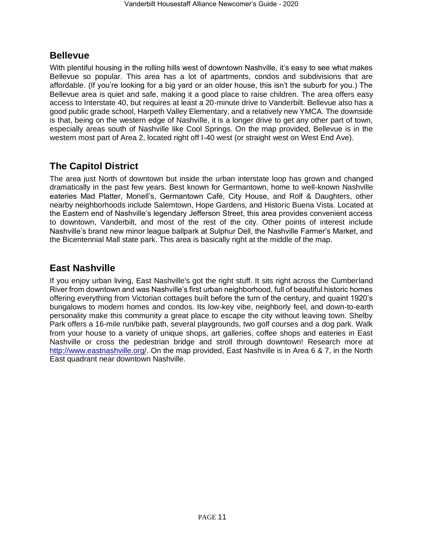### **Bellevue**

With plentiful housing in the rolling hills west of downtown Nashville, it's easy to see what makes Bellevue so popular. This area has a lot of apartments, condos and subdivisions that are affordable. (If you're looking for a big yard or an older house, this isn't the suburb for you.) The Bellevue area is quiet and safe, making it a good place to raise children. The area offers easy access to Interstate 40, but requires at least a 20-minute drive to Vanderbilt. Bellevue also has a good public grade school, Harpeth Valley Elementary, and a relatively new YMCA. The downside is that, being on the western edge of Nashville, it is a longer drive to get any other part of town, especially areas south of Nashville like Cool Springs. On the map provided, Bellevue is in the western most part of Area 2, located right off I-40 west (or straight west on West End Ave).

### <span id="page-10-0"></span>**The Capitol District**

The area just North of downtown but inside the urban interstate loop has grown and changed dramatically in the past few years. Best known for Germantown, home to well-known Nashville eateries Mad Platter, Monell's, Germantown Café, City House, and Rolf & Daughters, other nearby neighborhoods include Salemtown, Hope Gardens, and Historic Buena Vista. Located at the Eastern end of Nashville's legendary Jefferson Street, this area provides convenient access to downtown, Vanderbilt, and most of the rest of the city. Other points of interest include Nashville's brand new minor league ballpark at Sulphur Dell, the Nashville Farmer's Market, and the Bicentennial Mall state park. This area is basically right at the middle of the map.

### <span id="page-10-1"></span>**East Nashville**

<span id="page-10-2"></span>If you enjoy urban living, East Nashville's got the right stuff. It sits right across the Cumberland River from downtown and was Nashville's first urban neighborhood, full of beautiful historic homes offering everything from Victorian cottages built before the turn of the century, and quaint 1920's bungalows to modern homes and condos. Its low-key vibe, neighborly feel, and down-to-earth personality make this community a great place to escape the city without leaving town. Shelby Park offers a 16-mile run/bike path, several playgrounds, two golf courses and a dog park. Walk from your house to a variety of unique shops, art galleries, coffee shops and eateries in East Nashville or cross the pedestrian bridge and stroll through downtown! Research more at [http://www.eastnashville.org/.](http://www.eastnashville.org/) On the map provided, East Nashville is in Area 6 & 7, in the North East quadrant near downtown Nashville.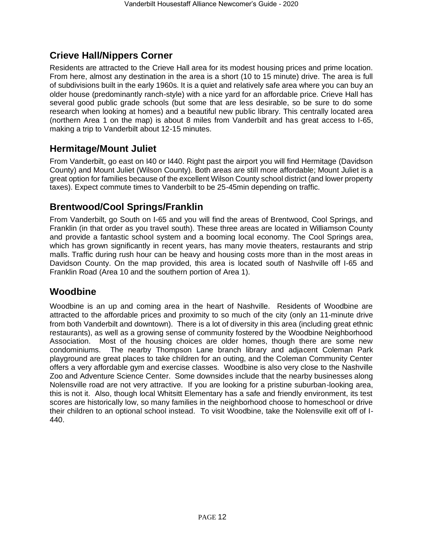### **Crieve Hall/Nippers Corner**

Residents are attracted to the Crieve Hall area for its modest housing prices and prime location. From here, almost any destination in the area is a short (10 to 15 minute) drive. The area is full of subdivisions built in the early 1960s. It is a quiet and relatively safe area where you can buy an older house (predominantly ranch-style) with a nice yard for an affordable price. Crieve Hall has several good public grade schools (but some that are less desirable, so be sure to do some research when looking at homes) and a beautiful new public library. This centrally located area (northern Area 1 on the map) is about 8 miles from Vanderbilt and has great access to I-65, making a trip to Vanderbilt about 12-15 minutes.

### <span id="page-11-0"></span>**Hermitage/Mount Juliet**

From Vanderbilt, go east on I40 or I440. Right past the airport you will find Hermitage (Davidson County) and Mount Juliet (Wilson County). Both areas are still more affordable; Mount Juliet is a great option for families because of the excellent Wilson County school district (and lower property taxes). Expect commute times to Vanderbilt to be 25-45min depending on traffic.

### <span id="page-11-1"></span>**Brentwood/Cool Springs/Franklin**

From Vanderbilt, go South on I-65 and you will find the areas of Brentwood, Cool Springs, and Franklin (in that order as you travel south). These three areas are located in Williamson County and provide a fantastic school system and a booming local economy. The Cool Springs area, which has grown significantly in recent years, has many movie theaters, restaurants and strip malls. Traffic during rush hour can be heavy and housing costs more than in the most areas in Davidson County. On the map provided, this area is located south of Nashville off I-65 and Franklin Road (Area 10 and the southern portion of Area 1).

### <span id="page-11-2"></span>**Woodbine**

Woodbine is an up and coming area in the heart of Nashville. Residents of Woodbine are attracted to the affordable prices and proximity to so much of the city (only an 11-minute drive from both Vanderbilt and downtown). There is a lot of diversity in this area (including great ethnic restaurants), as well as a growing sense of community fostered by the Woodbine Neighborhood Association. Most of the housing choices are older homes, though there are some new condominiums. The nearby Thompson Lane branch library and adjacent Coleman Park playground are great places to take children for an outing, and the Coleman Community Center offers a very affordable gym and exercise classes. Woodbine is also very close to the Nashville Zoo and Adventure Science Center. Some downsides include that the nearby businesses along Nolensville road are not very attractive. If you are looking for a pristine suburban-looking area, this is not it. Also, though local Whitsitt Elementary has a safe and friendly environment, its test scores are historically low, so many families in the neighborhood choose to homeschool or drive their children to an optional school instead. To visit Woodbine, take the Nolensville exit off of I-440.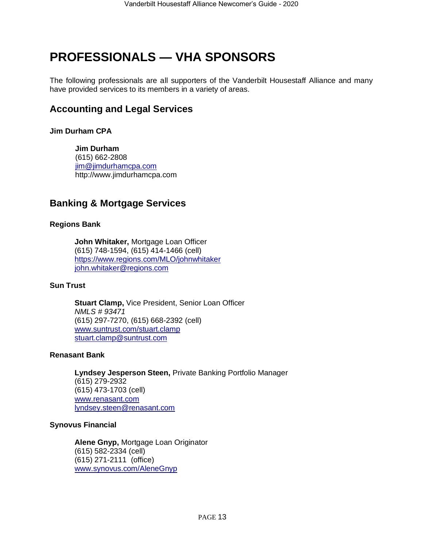## <span id="page-12-0"></span>**PROFESSIONALS — VHA SPONSORS**

The following professionals are all supporters of the Vanderbilt Housestaff Alliance and many have provided services to its members in a variety of areas.

### <span id="page-12-1"></span>**Accounting and Legal Services**

### **Jim Durham CPA**

 **Jim Durham** (615) 662-2808 [jim@jimdurhamcpa.com](mailto:jim@jimdurhamcpa.com) http://www.jimdurhamcpa.co[m](mailto:allan.phillips@peachtreeplanning.com)

### **Banking & Mortgage Services**

### **Regions Bank**

**John Whitaker,** Mortgage Loan Officer (615) 748-1594, (615) 414-1466 (cell) <https://www.regions.com/MLO/johnwhitaker> [john.whitaker@regions.com](mailto:john.whitaker@regions.com)

### **Sun Trust**

**Stuart Clamp,** Vice President, Senior Loan Officer *NMLS # 93471* (615) 297-7270, (615) 668-2392 (cell) [www.suntrust.com/stuart.clamp](http://www.suntrust.com/stuart.clamp) [stuart.clamp@suntrust.com](mailto:stuart.clamp@suntrust.com)

#### **Renasant Bank**

**Lyndsey Jesperson Steen,** Private Banking Portfolio Manager (615) 279-2932 (615) 473-1703 (cell) [www.renasant.com](http://www.renasant.com/) [lyndsey.steen@renasant.com](mailto:lyndsey.steen@renasant.com)

### **Synovus Financial**

<span id="page-12-2"></span>**Alene Gnyp,** Mortgage Loan Originator (615) 582-2334 (cell) (615) 271-2111 (office) [www.synovus.com/AleneGnyp](https://www.synovus.com/AleneGnyp)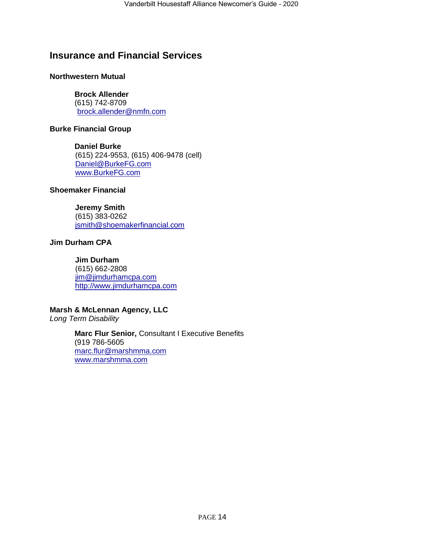### **Insurance and Financial Services**

### **Northwestern Mutual**

### **Brock Allender**

(615) 742-8709 brock.allender@nmfn.com

### **Burke Financial Group**

**Daniel Burke** (615) 224-9553, (615) 406-9478 (cell) [Daniel@BurkeFG.com](mailto:Daniel@BurkeFG.com) [www.BurkeFG.com](http://www.burkefg.com/)

### **Shoemaker Financial**

 **Jeremy Smith** (615) 383-0262 [jsmith@shoemakerfinancial.com](mailto:jsmith@shoemakerfinancial.com)

### **Jim Durham CPA**

 **Jim Durham** (615) 662-2808 [jim@jimdurhamcpa.com](mailto:jim@jimdurhamcpa.com) [http://www.jimdurhamcpa.com](http://www.jimdurhamcpa.com/)

### **Marsh & McLennan Agency, LLC**

*Long Term Disability*

**Marc Flur Senior,** Consultant I Executive Benefits (919 [786-5605](tel:+%20919-786-5605) [marc.flur@marshmma.com](mailto:marc.flur@marshmma.com) [www.marshmma.com](http://www.marshmma.com/)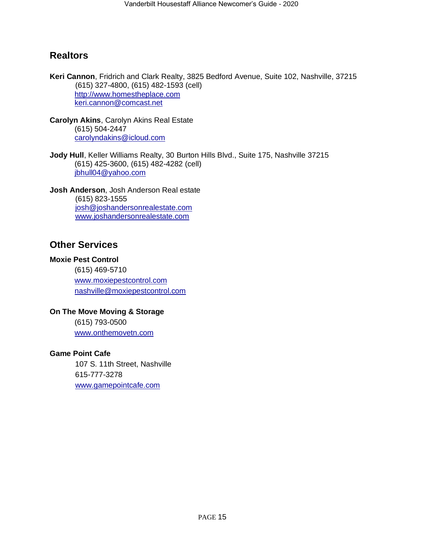### <span id="page-14-0"></span>**Realtors**

**Keri Cannon**, Fridrich and Clark Realty, 3825 Bedford Avenue, Suite 102, Nashville, 37215 (615) 327-4800, (615) 482-1593 (cell) [http://www.homestheplace.com](http://www.homestheplace.com/) keri.cannon@comcast.net

**Carolyn Akins**, Carolyn Akins Real Estate (615) 504-2447 [carolyndakins@icloud.com](mailto:carolyndakins@icloud.com)

**Jody Hull**, Keller Williams Realty, 30 Burton Hills Blvd., Suite 175, Nashville 37215 (615) 425-3600, (615) 482-4282 (cell) jbhull04@yahoo.com

**Josh Anderson**, Josh Anderson Real estate (615) 823-1555 [josh@joshandersonrealestate.com](mailto:josh@joshandersonrealestate.com) [www.joshandersonrealestate.com](file:///C:/Users/Jessica/Downloads/www.joshandersonrealestate.com)

### <span id="page-14-1"></span>**Other Services**

#### **Moxie Pest Control**

(615) 469-5710 [www.moxiepestcontrol.com](http://www.moxiepestcontrol.com/) [nashville@moxiepestcontrol.com](mailto:nashville@moxiepestcontrol.com)

### **On The Move Moving & Storage**

(615) 793-0500 [www.onthemovetn.com](http://www.onthemovetn.com/)

#### **Game Point Cafe**

<span id="page-14-2"></span>107 S. 11th Street, Nashville 615-777-3278 <www.gamepointcafe.com>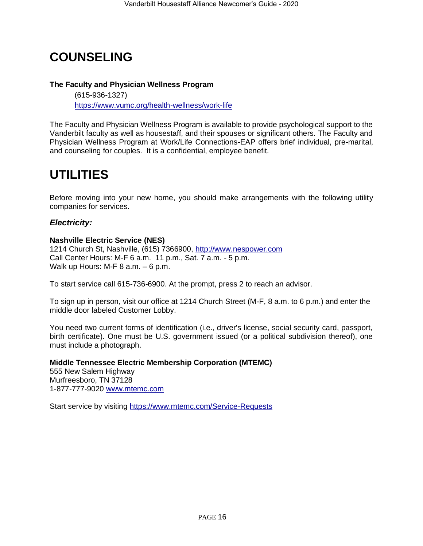## **COUNSELING**

### **The Faculty and Physician Wellness Program**

(615-936-1327) <https://www.vumc.org/health-wellness/work-life>

The Faculty and Physician Wellness Program is available to provide psychological support to the Vanderbilt faculty as well as housestaff, and their spouses or significant others. The Faculty and Physician Wellness Program at Work/Life Connections-EAP offers brief individual, pre-marital, and counseling for couples. It is a confidential, employee benefit.

## <span id="page-15-0"></span>**UTILITIES**

Before moving into your new home, you should make arrangements with the following utility companies for services.

### *Electricity:*

### **Nashville Electric Service (NES)**

1214 Church St, Nashville, (615) 7366900, [http://www.nespower.com](http://www.nespower.com/) Call Center Hours: M-F 6 a.m. 11 p.m., Sat. 7 a.m. - 5 p.m. Walk up Hours: M-F 8 a.m. – 6 p.m.

To start service call 615-736-6900. At the prompt, press 2 to reach an advisor.

To sign up in person, visit our office at 1214 Church Street (M-F, 8 a.m. to 6 p.m.) and enter the middle door labeled Customer Lobby.

You need two current forms of identification (i.e., driver's license, social security card, passport, birth certificate). One must be U.S. government issued (or a political subdivision thereof), one must include a photograph.

**Middle Tennessee Electric Membership Corporation (MTEMC)** 555 New Salem Highway Murfreesboro, TN 37128 1-877-777-9020 [www.mtemc.com](http://www.mtemc.com/)

Start service by visiting<https://www.mtemc.com/Service-Requests>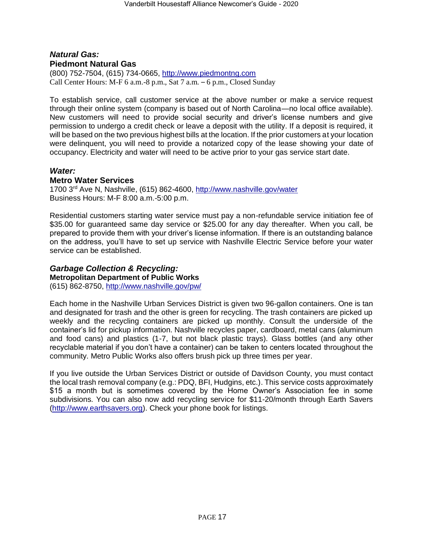### *Natural Gas:* **Piedmont Natural Gas**

(800) 752-7504, (615) 734-0665, [http://www.piedmontng.com](http://www.piedmontng.com/) Call Center Hours: M-F 6 a.m.-8 p.m., Sat 7 a.m. – 6 p.m., Closed Sunday

To establish service, call customer service at the above number or make a service request through their online system (company is based out of North Carolina—no local office available). New customers will need to provide social security and driver's license numbers and give permission to undergo a credit check or leave a deposit with the utility. If a deposit is required, it will be based on the two previous highest bills at the location. If the prior customers at your location were delinquent, you will need to provide a notarized copy of the lease showing your date of occupancy. Electricity and water will need to be active prior to your gas service start date.

### *Water:*

### **Metro Water Services**

1700 3rd Ave N, Nashville, (615) 862-4600,<http://www.nashville.gov/water> Business Hours: M-F 8:00 a.m.-5:00 p.m.

Residential customers starting water service must pay a non-refundable service initiation fee of \$35.00 for guaranteed same day service or \$25.00 for any day thereafter. When you call, be prepared to provide them with your driver's license information. If there is an outstanding balance on the address, you'll have to set up service with Nashville Electric Service before your water service can be established.

### *Garbage Collection & Recycling:*

**Metropolitan Department of Public Works**

(615) 862-8750,<http://www.nashville.gov/pw/>

Each home in the Nashville Urban Services District is given two 96-gallon containers. One is tan and designated for trash and the other is green for recycling. The trash containers are picked up weekly and the recycling containers are picked up monthly. Consult the underside of the container's lid for pickup information. Nashville recycles paper, cardboard, metal cans (aluminum and food cans) and plastics (1-7, but not black plastic trays). Glass bottles (and any other recyclable material if you don't have a container) can be taken to centers located throughout the community. Metro Public Works also offers brush pick up three times per year.

If you live outside the Urban Services District or outside of Davidson County, you must contact the local trash removal company (e.g.: PDQ, BFI, Hudgins, etc.). This service costs approximately \$15 a month but is sometimes covered by the Home Owner's Association fee in some subdivisions. You can also now add recycling service for \$11-20/month through Earth Savers [\(http://www.earthsavers.org\)](http://www.earthsavers.org/). Check your phone book for listings.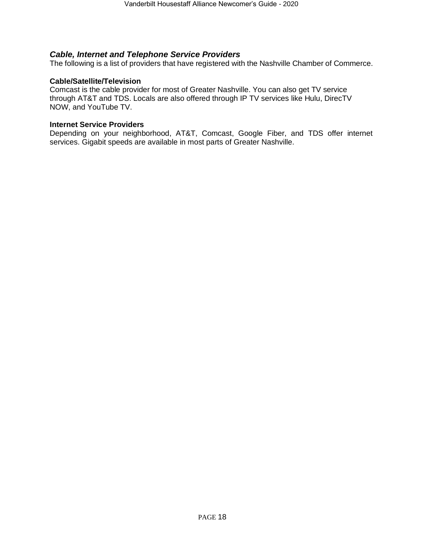### *Cable, Internet and Telephone Service Providers*

The following is a list of providers that have registered with the Nashville Chamber of Commerce.

#### **Cable/Satellite/Television**

Comcast is the cable provider for most of Greater Nashville. You can also get TV service through AT&T and TDS. Locals are also offered through IP TV services like Hulu, DirecTV NOW, and YouTube TV.

#### **Internet Service Providers**

<span id="page-17-0"></span>Depending on your neighborhood, AT&T, Comcast, Google Fiber, and TDS offer internet services. Gigabit speeds are available in most parts of Greater Nashville.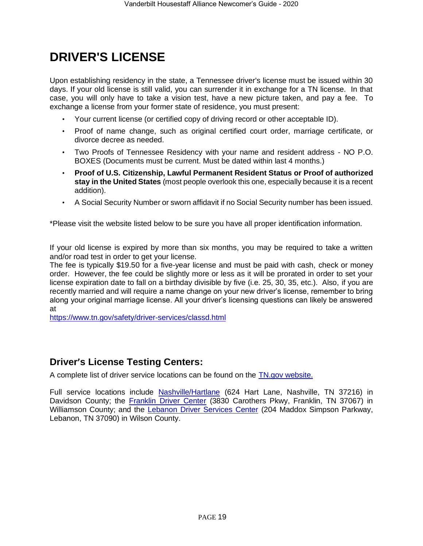## **DRIVER'S LICENSE**

Upon establishing residency in the state, a Tennessee driver's license must be issued within 30 days. If your old license is still valid, you can surrender it in exchange for a TN license. In that case, you will only have to take a vision test, have a new picture taken, and pay a fee. To exchange a license from your former state of residence, you must present:

- Your current license (or certified copy of driving record or other acceptable ID).
- Proof of name change, such as original certified court order, marriage certificate, or divorce decree as needed.
- Two Proofs of Tennessee Residency with your name and resident address NO P.O. BOXES (Documents must be current. Must be dated within last 4 months.)
- **Proof of U.S. Citizenship, Lawful Permanent Resident Status or Proof of authorized stay in the United States** (most people overlook this one, especially because it is a recent addition).
- A Social Security Number or sworn affidavit if no Social Security number has been issued.

\*Please visit the website listed below to be sure you have all proper identification information.

If your old license is expired by more than six months, you may be required to take a written and/or road test in order to get your license.

The fee is typically \$19.50 for a five-year license and must be paid with cash, check or money order. However, the fee could be slightly more or less as it will be prorated in order to set your license expiration date to fall on a birthday divisible by five (i.e. 25, 30, 35, etc.). Also, if you are recently married and will require a name change on your new driver's license, remember to bring along your original marriage license. All your driver's licensing questions can likely be answered at

<https://www.tn.gov/safety/driver-services/classd.html>

### **Driver's License Testing Centers:**

A complete list of driver service locations can be found on the [TN.gov website.](https://www.tn.gov/safety/driver-services/locations/dllocationcnty.html)

<span id="page-18-0"></span>Full service locations include [Nashville/Hartlane](https://www.tn.gov/content/tn/safety/driver-services/locations/davidson.html) (624 Hart Lane, Nashville, TN 37216) in Davidson County; the [Franklin Driver Center](https://www.tn.gov/content/tn/safety/driver-services/locations/williamson.html) (3830 Carothers Pkwy, Franklin, TN 37067) in Williamson County; and the [Lebanon Driver Services Center](https://www.tn.gov/content/tn/safety/driver-services/locations/wilson.html) (204 Maddox Simpson Parkway, Lebanon, TN 37090) in Wilson County.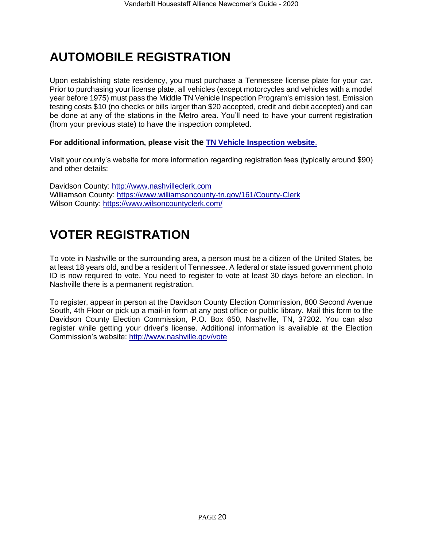## **AUTOMOBILE REGISTRATION**

Upon establishing state residency, you must purchase a Tennessee license plate for your car. Prior to purchasing your license plate, all vehicles (except motorcycles and vehicles with a model year before 1975) must pass the Middle TN Vehicle Inspection Program's emission test. Emission testing costs \$10 (no checks or bills larger than \$20 accepted, credit and debit accepted) and can be done at any of the stations in the Metro area. You'll need to have your current registration (from your previous state) to have the inspection completed.

### **For additional information, please visit the [TN Vehicle Inspection website](https://www.tn.gov/environment/program-areas/apc-air-pollution-control-home/vehicle-inspection-program.html)**[.](http://www.nashvillevip.org/)

Visit your county's website for more information regarding registration fees (typically around \$90) and other details:

Davidson County: [http://www.nashvilleclerk.com](http://www.nashvilleclerk.com/) Williamson County:<https://www.williamsoncounty-tn.gov/161/County-Clerk> Wilson County:<https://www.wilsoncountyclerk.com/>

## <span id="page-19-0"></span>**VOTER REGISTRATION**

To vote in Nashville or the surrounding area, a person must be a citizen of the United States, be at least 18 years old, and be a resident of Tennessee. A federal or state issued government photo ID is now required to vote. You need to register to vote at least 30 days before an election. In Nashville there is a permanent registration.

<span id="page-19-1"></span>To register, appear in person at the Davidson County Election Commission, 800 Second Avenue South, 4th Floor or pick up a mail-in form at any post office or public library. Mail this form to the Davidson County Election Commission, P.O. Box 650, Nashville, TN, 37202. You can also register while getting your driver's license. Additional information is available at the Election Commission's website:<http://www.nashville.gov/vote>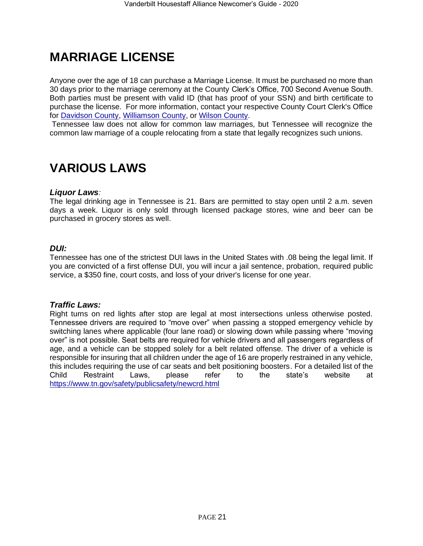## **MARRIAGE LICENSE**

Anyone over the age of 18 can purchase a Marriage License. It must be purchased no more than 30 days prior to the marriage ceremony at the County Clerk's Office, 700 Second Avenue South. Both parties must be present with valid ID (that has proof of your SSN) and birth certificate to purchase the license. For more information, contact your respective County Court Clerk's Office for [Davidson County,](http://www.nashvilleclerk.com/living/marriage-license/) [Williamson County,](https://www.williamsoncounty-tn.gov/165/Licenses-Permits) or [Wilson County.](https://www.wilsoncountyclerk.com/marriage-licenses/)

Tennessee law does not allow for common law marriages, but Tennessee will recognize the common law marriage of a couple relocating from a state that legally recognizes such unions.

## **VARIOUS LAWS**

### *Liquor Laws:*

The legal drinking age in Tennessee is 21. Bars are permitted to stay open until 2 a.m. seven days a week. Liquor is only sold through licensed package stores, wine and beer can be purchased in grocery stores as well.

### *DUI:*

Tennessee has one of the strictest DUI laws in the United States with .08 being the legal limit. If you are convicted of a first offense DUI, you will incur a jail sentence, probation, required public service, a \$350 fine, court costs, and loss of your driver's license for one year.

#### *Traffic Laws:*

Right turns on red lights after stop are legal at most intersections unless otherwise posted. Tennessee drivers are required to "move over" when passing a stopped emergency vehicle by switching lanes where applicable (four lane road) or slowing down while passing where "moving over" is not possible. Seat belts are required for vehicle drivers and all passengers regardless of age, and a vehicle can be stopped solely for a belt related offense. The driver of a vehicle is responsible for insuring that all children under the age of 16 are properly restrained in any vehicle, this includes requiring the use of car seats and belt positioning boosters. For a detailed list of the Child Restraint Laws, please refer to the state's website at <https://www.tn.gov/safety/publicsafety/newcrd.html>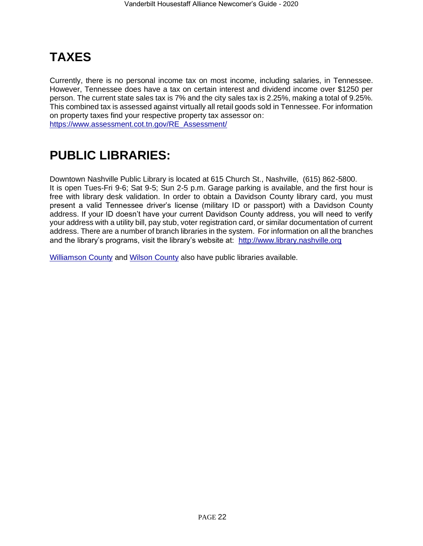## **TAXES**

Currently, there is no personal income tax on most income, including salaries, in Tennessee. However, Tennessee does have a tax on certain interest and dividend income over \$1250 per person. The current state sales tax is 7% and the city sales tax is 2.25%, making a total of 9.25%. This combined tax is assessed against virtually all retail goods sold in Tennessee. For information on property taxes find your respective property tax assessor on: [https://www.assessment.cot.tn.gov/RE\\_Assessment/](https://www.assessment.cot.tn.gov/RE_Assessment/)

## **PUBLIC LIBRARIES:**

Downtown Nashville Public Library is located at 615 Church St., Nashville, (615) 862-5800. It is open Tues-Fri 9-6; Sat 9-5; Sun 2-5 p.m. Garage parking is available, and the first hour is free with library desk validation. In order to obtain a Davidson County library card, you must present a valid Tennessee driver's license (military ID or passport) with a Davidson County address. If your ID doesn't have your current Davidson County address, you will need to verify your address with a utility bill, pay stub, voter registration card, or similar documentation of current address. There are a number of branch libraries in the system. For information on all the branches and the library's programs, visit the library's website at: [http://www.library.nashville.org](http://www.library.nashville.org/)

[Williamson County](http://lib.williamson-tn.org/) and [Wilson County](http://www.youseemore.com/mtjuliet/) also have public libraries available.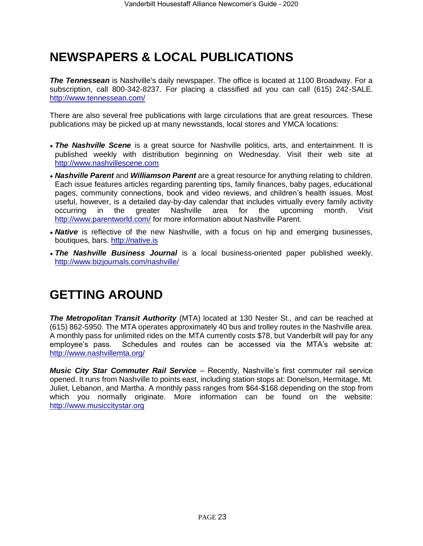## **NEWSPAPERS & LOCAL PUBLICATIONS**

**The Tennessean** is Nashville's daily newspaper. The office is located at 1100 Broadway. For a subscription, call 800-342-8237. For placing a classified ad you can call (615) 242-SALE. <http://www.tennessean.com/>

There are also several free publications with large circulations that are great resources. These publications may be picked up at many newsstands, local stores and YMCA locations:

- *The Nashville Scene* is a great source for Nashville politics, arts, and entertainment. It is published weekly with distribution beginning on Wednesday. Visit their web site at [http://www.nashvillescene.com](http://www.nashvillescene.com/)
- *• Nashville Parent* and *Williamson Parent* are a great resource for anything relating to children. Each issue features articles regarding parenting tips, family finances, baby pages, educational pages, community connections, book and video reviews, and children's health issues. Most useful, however, is a detailed day-by-day calendar that includes virtually every family activity occurring in the greater Nashville area for the upcoming month. Visit <http://www.parentworld.com/> for more information about Nashville Parent.
- **Native** is reflective of the new Nashville, with a focus on hip and emerging businesses, boutiques, bars. [http://native.is](http://native.is/)
- *• The Nashville Business Journal* is a local business-oriented paper published weekly. <http://www.bizjournals.com/nashville/>

## **GETTING AROUND**

*The Metropolitan Transit Authority* (MTA) located at 130 Nester St., and can be reached at (615) 862-5950. The MTA operates approximately 40 bus and trolley routes in the Nashville area. A monthly pass for unlimited rides on the MTA currently costs \$78, but Vanderbilt will pay for any employee's pass. Schedules and routes can be accessed via the MTA's website at: <http://www.nashvillemta.org/>

*Music City Star Commuter Rail Service* – Recently, Nashville's first commuter rail service opened. It runs from Nashville to points east, including station stops at: Donelson, Hermitage, Mt. Juliet, Lebanon, and Martha. A monthly pass ranges from \$64-\$168 depending on the stop from which you normally originate. More information can be found on the website: [http://www.musiccitystar.org](http://www.musiccitystar.org/)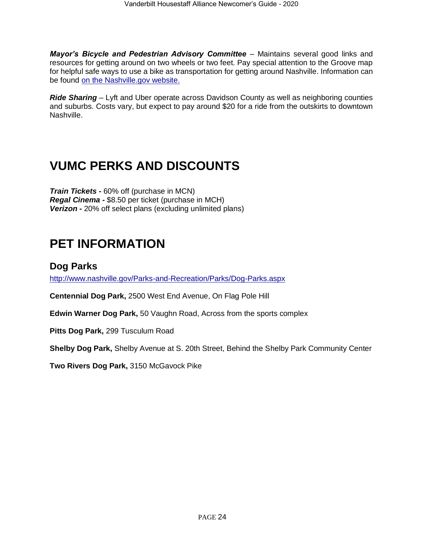*Mayor's Bicycle and Pedestrian Advisory Committee* – Maintains several good links and resources for getting around on two wheels or two feet. Pay special attention to the Groove map for helpful safe ways to use a bike as transportation for getting around Nashville. Information can be found [on the Nashville.gov website.](https://www.nashville.gov/Government/Boards-and-Committees/Committee-Information/ID/124/Bicycle-and-Pedestrian-Advisory-Committee.aspx)

*Ride Sharing* – Lyft and Uber operate across Davidson County as well as neighboring counties and suburbs. Costs vary, but expect to pay around \$20 for a ride from the outskirts to downtown Nashville[.](http://www.nashville.gov/Mayors-Office/Priorities/Health/Links-and-Resources)

## <span id="page-23-0"></span>**VUMC PERKS AND DISCOUNTS**

*Train Tickets -* 60% off (purchase in MCN) *Regal Cinema -* \$8.50 per ticket (purchase in MCH) *Verizon -* 20% off select plans (excluding unlimited plans)

## <span id="page-23-1"></span>**PET INFORMATION**

### <span id="page-23-2"></span>**Dog Parks**

<http://www.nashville.gov/Parks-and-Recreation/Parks/Dog-Parks.aspx>

**Centennial Dog Park,** 2500 West End Avenue, On Flag Pole Hill

**Edwin Warner Dog Park,** 50 Vaughn Road, Across from the sports complex

**Pitts Dog Park,** 299 Tusculum Road

**Shelby Dog Park,** Shelby Avenue at S. 20th Street, Behind the Shelby Park Community Center

**Two Rivers Dog Park,** 3150 McGavock Pike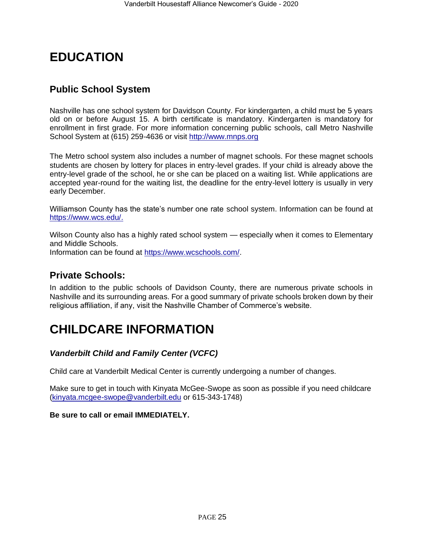## <span id="page-24-0"></span>**EDUCATION**

### <span id="page-24-1"></span>**Public School System**

Nashville has one school system for Davidson County. For kindergarten, a child must be 5 years old on or before August 15. A birth certificate is mandatory. Kindergarten is mandatory for enrollment in first grade. For more information concerning public schools, call Metro Nashville [Sc](http://www.mnps.org/)hool System at (615) 259-4636 or visit [http://www.mnps.org](http://www.mnps.org/)

The Metro school system also includes a number of magnet schools. For these magnet schools students are chosen by lottery for places in entry-level grades. If your child is already above the entry-level grade of the school, he or she can be placed on a waiting list. While applications are accepted year-round for the waiting list, the deadline for the entry-level lottery is usually in very early December.

Williamson County has the state's number one rate school system. Information can be found at [https://www.wcs.edu/.](https://www.wcs.edu/)

Wilson County also has a highly rated school system — especially when it comes to Elementary and Middle Schools.

Information can be found at [https://www.wcschools.com/.](https://www.wcschools.com/)

### <span id="page-24-2"></span>**Private Schools:**

In addition to the public schools of Davidson County, there are numerous private schools in Nashville and its surrounding areas. For a good summary of private schools broken down by their religious affiliation, if any, visit the Nashville Chamber of Commerce's website.

## <span id="page-24-3"></span>**CHILDCARE INFORMATION**

### *Vanderbilt Child and Family Center (VCFC)*

Child care at Vanderbilt Medical Center is currently undergoing a number of changes.

Make sure to get in touch with Kinyata McGee-Swope as soon as possible if you need childcare [\(kinyata.mcgee-swope@vanderbilt.edu](mailto:kinyata.mcgee-swope@vanderbilt.edu) or 615-343-1748)

### **Be sure to call or email IMMEDIATELY.**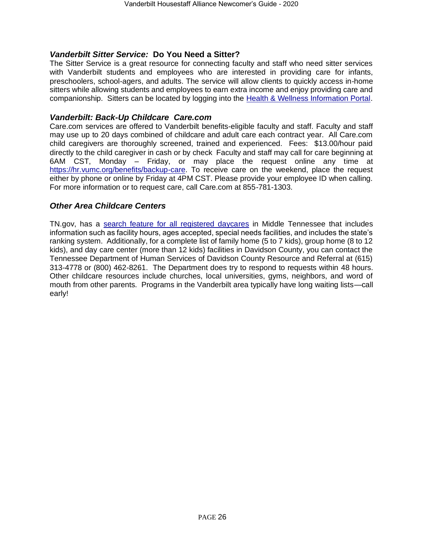### *Vanderbilt Sitter Service:* **Do You Need a Sitter?**

The Sitter Service is a great resource for connecting faculty and staff who need sitter services with Vanderbilt students and employees who are interested in providing care for infants, preschoolers, school-agers, and adults. The service will allow clients to quickly access in-home sitters while allowing students and employees to earn extra income and enjoy providing care and companionship. Sitters can be located by logging into the Health & Wellness Information Portal.

### *Vanderbilt: Back-Up Childcare Care.co[m](http://healthandwellness.vanderbilt.edu/news/2011/09/parents-in-a-pinch-back-up-childcare/)*

Care.com services are offered to Vanderbilt benefits-eligible faculty and staff. Faculty and staff may use up to 20 days combined of childcare and adult care each contract year. All Care.com child caregivers are thoroughly screened, trained and experienced. Fees: \$13.00/hour paid directly to the child caregiver in cash or by check Faculty and staff may call for care beginning at 6AM CST, Monday – Friday, or may place the request online any time at [https://hr.vumc.org/benefits/backup-care.](https://hr.vumc.org/benefits/backup-care) To receive care on the weekend, place the request either by phone or online by Friday at 4PM CST. Please provide your employee ID when calling. For more information or to request care, call Care.com at 855-781-1303.

### *Other Area Childcare Centers*

TN.gov, has a [search feature for all registered daycares](https://www.tn.gov/humanservices/for-families/child-care-services/find-child-care.html) in Middle Tennessee that includes information such as facility hours, ages accepted, special needs facilities, and includes the state's ranking system. Additionally, for a complete list of family home (5 to 7 kids), group home (8 to 12 kids), and day care center (more than 12 kids) facilities in Davidson County, you can contact the Tennessee Department of Human Services of Davidson County Resource and Referral at (615) 313-4778 or (800) 462-8261. The Department does try to respond to requests within 48 hours. Other childcare resources include churches, local universities, gyms, neighbors, and word of mouth from other parents. Programs in the Vanderbilt area typically have long waiting lists—call early!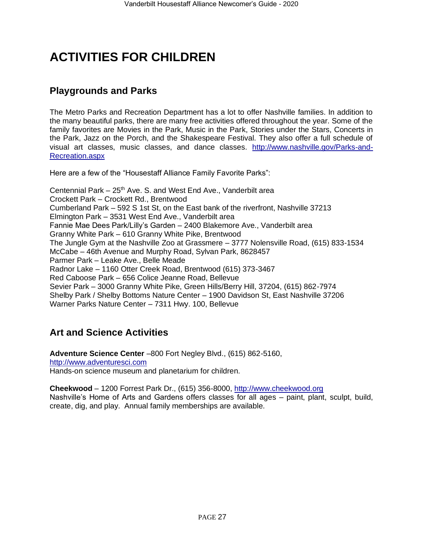## <span id="page-26-0"></span>**ACTIVITIES FOR CHILDREN**

### <span id="page-26-1"></span>**Playgrounds and Parks**

The Metro Parks and Recreation Department has a lot to offer Nashville families. In addition to the many beautiful parks, there are many free activities offered throughout the year. Some of the family favorites are Movies in the Park, Music in the Park, Stories under the Stars, Concerts in the Park, Jazz on the Porch, and the Shakespeare Festival. They also offer a full schedule of visual art classes, music classes, and dance classes. [http://www.nashville.gov/Parks-and-](http://www.nashville.gov/Parks-and-Recreation.aspx)[Recreation.aspx](http://www.nashville.gov/Parks-and-Recreation.aspx) 

Here are a few of the "Housestaff Alliance Family Favorite Parks":

Centennial Park  $-25<sup>th</sup>$  Ave. S. and West End Ave., Vanderbilt area Crockett Park – Crockett Rd., Brentwood Cumberland Park – 592 S 1st St, on the East bank of the riverfront, Nashville 37213 Elmington Park – 3531 West End Ave., Vanderbilt area Fannie Mae Dees Park/Lilly's Garden – 2400 Blakemore Ave., Vanderbilt area Granny White Park – 610 Granny White Pike, Brentwood The Jungle Gym at the Nashville Zoo at Grassmere – 3777 Nolensville Road, (615) 833-1534 McCabe – 46th Avenue and Murphy Road, Sylvan Park, 8628457 Parmer Park – Leake Ave., Belle Meade Radnor Lake – 1160 Otter Creek Road, Brentwood (615) 373-3467 Red Caboose Park – 656 Colice Jeanne Road, Bellevue Sevier Park – 3000 Granny White Pike, Green Hills/Berry Hill, 37204, (615) 862-7974 Shelby Park / Shelby Bottoms Nature Center – 1900 Davidson St, East Nashville 37206 Warner Parks Nature Center – 7311 Hwy. 100, Bellevue

### <span id="page-26-2"></span>**Art and Science Activities**

**Adventure Science Center** –800 Fort Negley Blvd., (615) 862-5160, [http://www.adventuresci.com](http://www.adventuresci.com/) Hands-on science museum and planetarium for children.

**Cheekwood** – 1200 Forrest Park Dr., (615) 356-8000, [http://www.cheekwood.org](http://www.cheekwood.org/) Nashville's Home of Arts and Gardens offers classes for all ages – paint, plant, sculpt, build, create, dig, and play. Annual family memberships are available.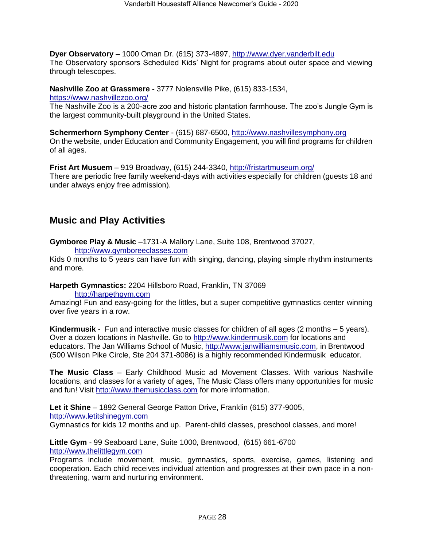**Dyer Observatory** *–* 1000 Oman Dr. (615) 373-4897, [http://www.dyer.vanderbilt.edu](http://www.dyer.vanderbilt.edu/) The Observatory sponsors Scheduled Kids' Night for programs about outer space and viewing through telescopes.

**Nashville Zoo at Grassmere -** 3777 Nolensville Pike, (615) 833-1534,

<https://www.nashvillezoo.org/>

The Nashville Zoo is a 200-acre zoo and historic plantation farmhouse. The zoo's Jungle Gym is the largest community-built playground in the United States.

**Schermerhorn Symphony Center** - (615) 687-6500, [http://www.nashvillesymphony.org](http://www.nashvillesymphony.org/) On the website, under Education and Community Engagement, you will find programs for children of all ages.

**Frist Art Musuem** – 919 Broadway, (615) 244-3340,<http://fristartmuseum.org/> There are periodic free family weekend-days with activities especially for children (guests 18 and under always enjoy free admission).

### <span id="page-27-0"></span>**Music and Play Activities**

**Gymboree Play & Music** –1731-A Mallory Lane, Suite 108, Brentwood 37027,

[http://www.gymboreeclasses.com](http://www.gymboreeclasses.com/)

Kids 0 months to 5 years can have fun with singing, dancing, playing simple rhythm instruments and more.

**Harpeth Gymnastics:** 2204 Hillsboro Road, Franklin, TN 3706[9](http://harpethgym.com/)

[http://harpethgym.com](http://harpethgym.com/)

Amazing! Fun and easy-going for the littles, but a super competitive gymnastics center winning over five years in a row.

**Kindermusik** - Fun and interactive music classes for children of all ages (2 months – 5 years). Over a dozen locations in Nashville. Go to [http://www.kindermusik.com](http://www.kindermusik.com/) for locations and educators. The Jan Williams School of Music, [http://www.janwilliamsmusic.com,](http://www.janwilliamsmusic.com/) in Brentwood (500 Wilson Pike Circle, Ste 204 371-8086) is a highly recommended Kindermusik educator.

**The Music Class** – Early Childhood Music ad Movement Classes. With various Nashville locations, and classes for a variety of ages, The Music Class offers many opportunities for music and fun! Visit [http://www.themusicclass.com](http://www.themusicclass.com/) for more information.

**Let it Shine** – 1892 General George Patton Drive, Franklin (615) 377-9005, [http://www.letitshinegym.com](http://www.letitshinegym.com/) Gymnastics for kids 12 months and up. Parent-child classes, preschool classes, and more!

**Little Gym** - 99 Seaboard Lane, Suite 1000, Brentwood, (615) 661-6700 [http://www.thelittlegym.com](http://www.thelittlegym.com/)

Programs include movement, music, gymnastics, sports, exercise, games, listening and cooperation. Each child receives individual attention and progresses at their own pace in a nonthreatening, warm and nurturing environment.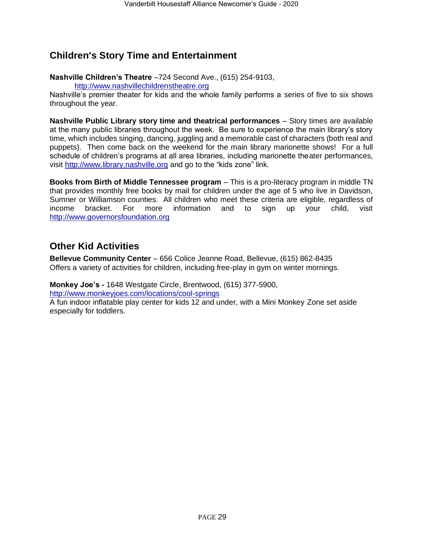### <span id="page-28-0"></span>**Children's Story Time and Entertainment**

**Nashville Children's Theatre** –724 Second Ave., (615) 254-9103,

[http://www.nashvillechildrenstheatre.org](http://www.nashvillechildrenstheatre.org/)

Nashville's premier theater for kids and the whole family performs a series of five to six shows throughout the year.

**Nashville Public Library story time and theatrical performances** – Story times are available at the many public libraries throughout the week. Be sure to experience the main library's story time, which includes singing, dancing, juggling and a memorable cast of characters (both real and puppets). Then come back on the weekend for the main library marionette shows! For a full schedule of children's programs at all area libraries, including marionette theater performances, visit [http://www.library.nashville.org](http://www.library.nashville.org/) and go to the "kids zone" link.

**Books from Birth of Middle Tennessee program** – This is a pro-literacy program in middle TN that provides monthly free books by mail for children under the age of 5 who live in Davidson, Sumner or Williamson counties. All children who meet these criteria are eligible, regardless of income bracket. For more information and to sign up your child, visit [http://www.governorsfoundation.org](http://www.governorsfoundation.org/)

### **Other Kid Activities**

**Bellevue Community Center** – 656 Colice Jeanne Road, Bellevue, (615) 862-8435 Offers a variety of activities for children, including free-play in gym on winter mornings.

**Monkey Joe's -** 1648 Westgate Circle, Brentwood, (615) 377-5900, <http://www.monkeyjoes.com/locations/cool-springs>

A fun indoor inflatable play center for kids 12 and under, with a Mini Monkey Zone set aside especially for toddlers.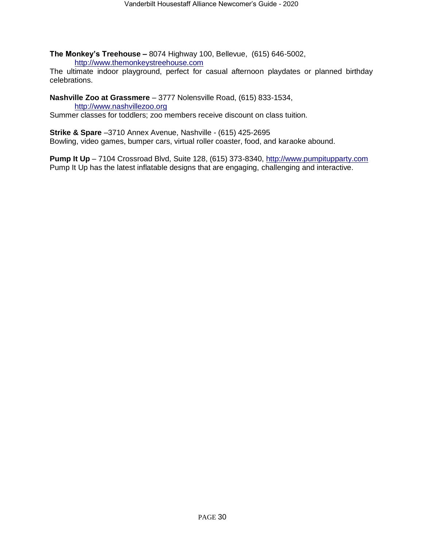**The Monkey's Treehouse** *–* 8074 Highway 100, Bellevue, (615) 646-5002, [http://www.themonkeystreehouse.com](http://www.themonkeystreehouse.com/)

The ultimate indoor playground, perfect for casual afternoon playdates or planned birthday celebrations.

**Nashville Zoo at Grassmere** – 3777 Nolensville Road, (615) 833-1534,

[http://www.nashvillezoo.org](http://www.nashvillezoo.org/) Summer classes for toddlers; zoo members receive discount on class tuition.

**Strike & Spare** –3710 Annex Avenue, Nashville - (615) 425-2695 Bowling, video games, bumper cars, virtual roller coaster, food, and karaoke abound.

**Pump It Up** *–* 7104 Crossroad Blvd, Suite 128, (615) 373-8340, [http://www.pumpitupparty.com](http://www.pumpitupparty.com/) Pump It Up has the latest inflatable designs that are engaging, challenging and interactive.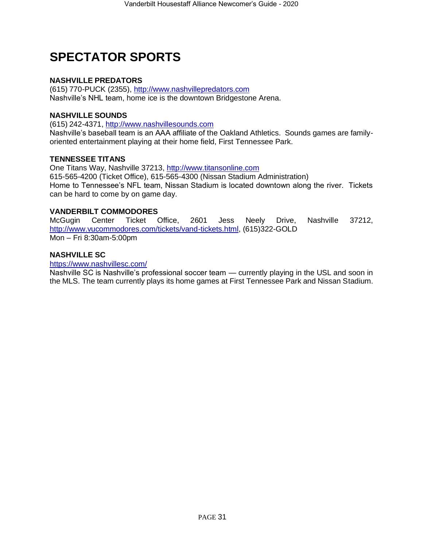## <span id="page-30-0"></span>**SPECTATOR SPORTS**

### **NASHVILLE PREDATORS**

(615) 770-PUCK (2355), [http://www.nashvillepredators.com](http://www.nashvillepredators.com/) Nashville's NHL team, home ice is the downtown Bridgestone Arena.

### **NASHVILLE SOUNDS**

(615) 242-4371, [http://www.nashvillesounds.com](http://www.nashvillesounds.com/) Nashville's baseball team is an AAA affiliate of the Oakland Athletics. Sounds games are familyoriented entertainment playing at their home field, First Tennessee Park.

### **TENNESSEE TITANS**

One Titans Way, Nashville 37213, [http://www.titansonline.com](http://www.titansonline.com/) 615-565-4200 (Ticket Office), 615-565-4300 (Nissan Stadium Administration) Home to Tennessee's NFL team, Nissan Stadium is located downtown along the river. Tickets can be hard to come by on game day.

### **VANDERBILT COMMODORES**

McGugin Center Ticket Office, 2601 Jess Neely Drive, Nashville 37212, [http://www.vucommodores.com/tickets/vand-tickets.html,](http://www.vucommodores.com/tickets/vand-tickets.html) (615)322-GOLD Mon – Fri 8:30am-5:00pm

### **NASHVILLE SC**

<https://www.nashvillesc.com/>

Nashville SC is Nashville's professional soccer team — currently playing in the USL and soon in the MLS. The team currently plays its home games at First Tennessee Park and Nissan Stadium.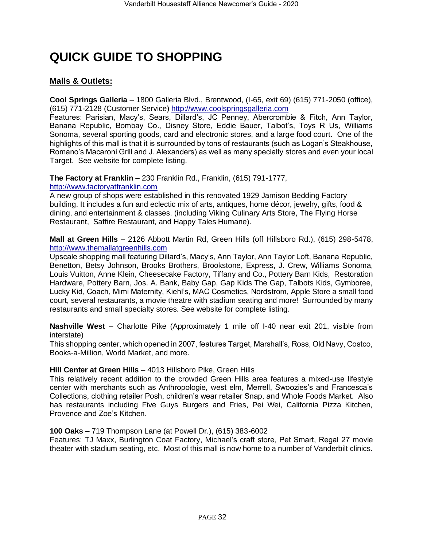## <span id="page-31-0"></span>**QUICK GUIDE TO SHOPPING**

### **Malls & Outlets:**

**Cool Springs Galleria** – 1800 Galleria Blvd., Brentwood, (I-65, exit 69) (615) 771-2050 (office), (615) 771-2128 (Customer Service) [http://www.coolspringsgalleria.com](http://www.coolspringsgalleria.com/)

Features: Parisian, Macy's, Sears, Dillard's, JC Penney, Abercrombie & Fitch, Ann Taylor, Banana Republic, Bombay Co., Disney Store, Eddie Bauer, Talbot's, Toys R Us, Williams Sonoma, several sporting goods, card and electronic stores, and a large food court. One of the highlights of this mall is that it is surrounded by tons of restaurants (such as Logan's Steakhouse, Romano's Macaroni Grill and J. Alexanders) as well as many specialty stores and even your local Target. See website for complete listing.

**The Factory at Franklin** – 230 Franklin Rd., Franklin, (615) 791-1777, [http://www.factoryatfranklin.com](http://www.factoryatfranklin.com/)

A new group of shops were established in this renovated 1929 Jamison Bedding Factory building. It includes a fun and eclectic mix of arts, antiques, home décor, jewelry, gifts, food & dining, and entertainment & classes. (including Viking Culinary Arts Store, The Flying Horse Restaurant, Saffire Restaurant, and Happy Tales Humane).

**Mall at Green Hills** – 2126 Abbott Martin Rd, Green Hills (off Hillsboro Rd.), (615) 298-5478, [http://www.themallatgreenhills.com](http://www.themallatgreenhills.com/)

Upscale shopping mall featuring Dillard's, Macy's, Ann Taylor, Ann Taylor Loft, Banana Republic, Benetton, Betsy Johnson, Brooks Brothers, Brookstone, Express, J. Crew, Williams Sonoma, Louis Vuitton, Anne Klein, Cheesecake Factory, Tiffany and Co., Pottery Barn Kids, Restoration Hardware, Pottery Barn, Jos. A. Bank, Baby Gap, Gap Kids The Gap, Talbots Kids, Gymboree, Lucky Kid, Coach, Mimi Maternity, Kiehl's, MAC Cosmetics, Nordstrom, Apple Store a small food court, several restaurants, a movie theatre with stadium seating and more! Surrounded by many restaurants and small specialty stores. See website for complete listing.

**Nashville West** – Charlotte Pike (Approximately 1 mile off I-40 near exit 201, visible from interstate)

This shopping center, which opened in 2007, features Target, Marshall's, Ross, Old Navy, Costco, Books-a-Million, World Market, and more.

### **Hill Center at Green Hills** – 4013 Hillsboro Pike, Green Hills

This relatively recent addition to the crowded Green Hills area features a mixed-use lifestyle center with merchants such as Anthropologie, west elm, Merrell, Swoozies's and Francesca's Collections, clothing retailer Posh, children's wear retailer Snap, and Whole Foods Market. Also has restaurants including Five Guys Burgers and Fries, Pei Wei, California Pizza Kitchen, Provence and Zoe's Kitchen.

### **100 Oaks** – 719 Thompson Lane (at Powell Dr.), (615) 383-6002

Features: TJ Maxx, Burlington Coat Factory, Michael's craft store, Pet Smart, Regal 27 movie theater with stadium seating, etc. Most of this mall is now home to a number of Vanderbilt clinics.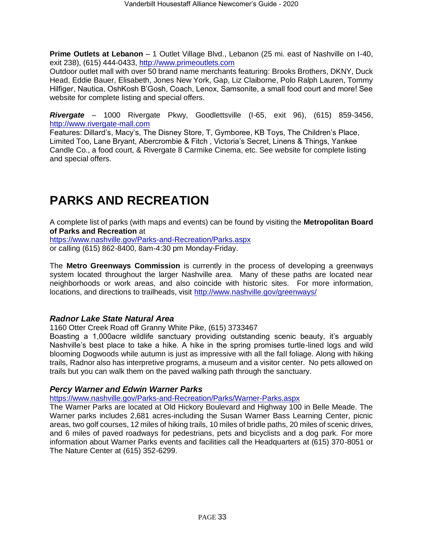**Prime Outlets at Lebanon** – 1 Outlet Village Blvd., Lebanon (25 mi. east of Nashville on I-40, exit 238), (615) 444-0433, [http://www.primeoutlets.com](http://www.primeoutlets.com/)

Outdoor outlet mall with over 50 brand name merchants featuring: Brooks Brothers, DKNY, Duck Head, Eddie Bauer, Elisabeth, Jones New York, Gap, Liz Claiborne, Polo Ralph Lauren, Tommy Hilfiger, Nautica, OshKosh B'Gosh, Coach, Lenox, Samsonite, a small food court and more! See website for complete listing and special offers.

*Rivergate* – 1000 Rivergate Pkwy, Goodlettsville (I-65, exit 96), (615) 859-3456, [http://www.rivergate-mall.com](http://www.rivergate-mall.com/)

Features: Dillard's, Macy's, The Disney Store, T, Gymboree, KB Toys, The Children's Place, Limited Too, Lane Bryant, Abercrombie & Fitch , Victoria's Secret, Linens & Things, Yankee Candle Co., a food court, & Rivergate 8 Carmike Cinema, etc. See website for complete listing and special offers.

## <span id="page-32-0"></span>**PARKS AND RECREATION**

A complete list of parks (with maps and events) can be found by visiting the **Metropolitan Board of Parks and Recreation** at

<https://www.nashville.gov/Parks-and-Recreation/Parks.aspx> or calling (615) 862-8400, 8am-4:30 pm Monday-Friday.

The **Metro Greenways Commission** is currently in the process of developing a greenways system located throughout the larger Nashville area. Many of these paths are located near neighborhoods or work areas, and also coincide with historic sites. For more information, locations, and directions to trailheads, visit<http://www.nashville.gov/greenways/>

### *Radnor Lake State Natural Area*

1160 Otter Creek Road off Granny White Pike, (615) 3733467

Boasting a 1,000acre wildlife sanctuary providing outstanding scenic beauty, it's arguably Nashville's best place to take a hike. A hike in the spring promises turtle-lined logs and wild blooming Dogwoods while autumn is just as impressive with all the fall foliage. Along with hiking trails, Radnor also has interpretive programs, a museum and a visitor center. No pets allowed on trails but you can walk them on the paved walking path through the sanctuary.

### *Percy Warner and Edwin Warner Parks*

<https://www.nashville.gov/Parks-and-Recreation/Parks/Warner-Parks.aspx>

The Warner Parks are located at Old Hickory Boulevard and Highway 100 in Belle Meade. The Warner parks includes 2,681 acres-including the Susan Warner Bass Learning Center, picnic areas, two golf courses, 12 miles of hiking trails, 10 miles of bridle paths, 20 miles of scenic drives, and 6 miles of paved roadways for pedestrians, pets and bicyclists and a dog park. For more information about Warner Parks events and facilities call the Headquarters at (615) 370-8051 or The Nature Center at (615) 352-6299.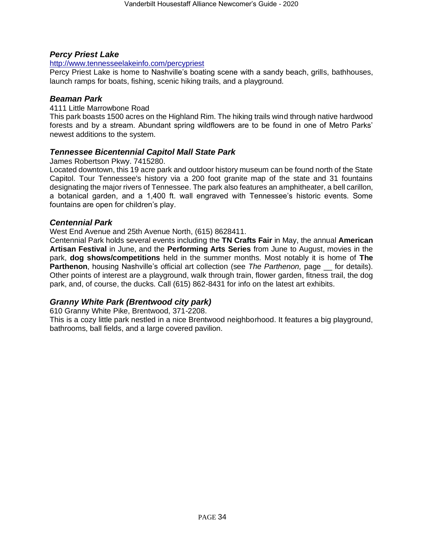### *Percy Priest Lake*

### <http://www.tennesseelakeinfo.com/percypriest>

Percy Priest Lake is home to Nashville's boating scene with a sandy beach, grills, bathhouses, launch ramps for boats, fishing, scenic hiking trails, and a playground.

### *Beaman Park*

### 4111 Little Marrowbone Road

This park boasts 1500 acres on the Highland Rim. The hiking trails wind through native hardwood forests and by a stream. Abundant spring wildflowers are to be found in one of Metro Parks' newest additions to the system.

### *Tennessee Bicentennial Capitol Mall State Park*

### James Robertson Pkwy. 7415280.

Located downtown, this 19 acre park and outdoor history museum can be found north of the State Capitol. Tour Tennessee's history via a 200 foot granite map of the state and 31 fountains designating the major rivers of Tennessee. The park also features an amphitheater, a bell carillon, a botanical garden, and a 1,400 ft. wall engraved with Tennessee's historic events. Some fountains are open for children's play.

### *Centennial Park*

### West End Avenue and 25th Avenue North, (615) 8628411.

Centennial Park holds several events including the **TN Crafts Fair** in May, the annual **American Artisan Festival** in June, and the **Performing Arts Series** from June to August, movies in the park, **dog shows/competitions** held in the summer months. Most notably it is home of **The Parthenon**, housing Nashville's official art collection (see *The Parthenon,* page \_\_ for details). Other points of interest are a playground, walk through train, flower garden, fitness trail, the dog park, and, of course, the ducks. Call (615) 862-8431 for info on the latest art exhibits.

### *Granny White Park (Brentwood city park)*

610 Granny White Pike, Brentwood, 371-2208.

This is a cozy little park nestled in a nice Brentwood neighborhood. It features a big playground, bathrooms, ball fields, and a large covered pavilion.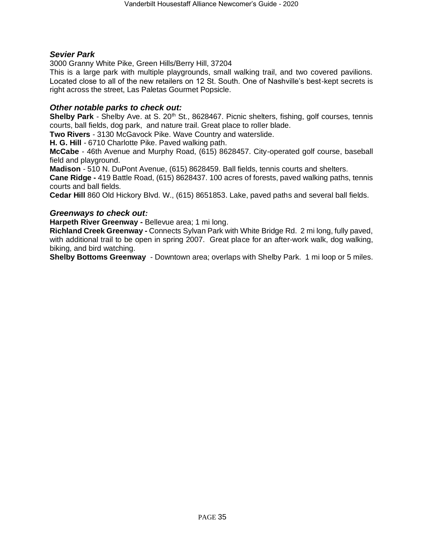### *Sevier Park*

3000 Granny White Pike, Green Hills/Berry Hill, 37204

This is a large park with multiple playgrounds, small walking trail, and two covered pavilions. Located close to all of the new retailers on 12 St. South. One of Nashville's best-kept secrets is right across the street, Las Paletas Gourmet Popsicle.

### *Other notable parks to check out:*

**Shelby Park** - Shelby Ave. at S. 20<sup>th</sup> St., 8628467. Picnic shelters, fishing, golf courses, tennis courts, ball fields, dog park, and nature trail. Great place to roller blade.

**Two Rivers** *-* 3130 McGavock Pike. Wave Country and waterslide.

**H. G. Hill** *-* 6710 Charlotte Pike. Paved walking path.

**McCabe** *-* 46th Avenue and Murphy Road, (615) 8628457. City-operated golf course, baseball field and playground.

**Madison** *-* 510 N. DuPont Avenue, (615) 8628459. Ball fields, tennis courts and shelters.

**Cane Ridge -** 419 Battle Road, (615) 8628437. 100 acres of forests, paved walking paths, tennis courts and ball fields.

**Cedar Hill** 860 Old Hickory Blvd. W., (615) 8651853. Lake, paved paths and several ball fields.

### *Greenways to check out:*

**Harpeth River Greenway -** Bellevue area; 1 mi long.

**Richland Creek Greenway -** Connects Sylvan Park with White Bridge Rd. 2 mi long, fully paved, with additional trail to be open in spring 2007. Great place for an after-work walk, dog walking, biking, and bird watching.

**Shelby Bottoms Greenway** - Downtown area; overlaps with Shelby Park. 1 mi loop or 5 miles.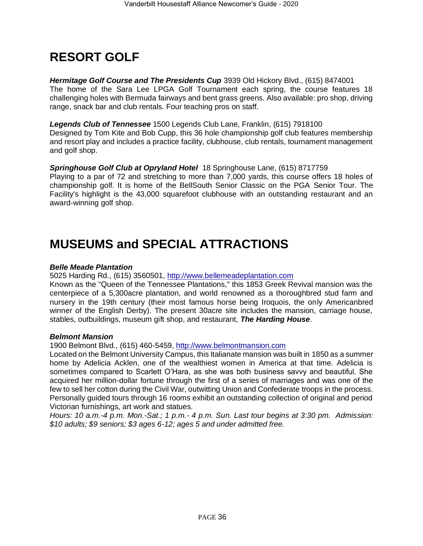## <span id="page-35-0"></span>**RESORT GOLF**

*Hermitage Golf Course and The Presidents Cup* 3939 Old Hickory Blvd., (615) 8474001 The home of the Sara Lee LPGA Golf Tournament each spring, the course features 18 challenging holes with Bermuda fairways and bent grass greens. Also available: pro shop, driving range, snack bar and club rentals. Four teaching pros on staff.

*Legends Club of Tennessee* 1500 Legends Club Lane, Franklin, (615) 7918100 Designed by Tom Kite and Bob Cupp, this 36 hole championship golf club features membership and resort play and includes a practice facility, clubhouse, club rentals, tournament management and golf shop.

### *Springhouse Golf Club at Opryland Hotel* 18 Springhouse Lane, (615) 8717759

Playing to a par of 72 and stretching to more than 7,000 yards, this course offers 18 holes of championship golf. It is home of the BellSouth Senior Classic on the PGA Senior Tour. The Facility's highlight is the 43,000 squarefoot clubhouse with an outstanding restaurant and an award-winning golf shop.

## <span id="page-35-1"></span>**MUSEUMS and SPECIAL ATTRACTIONS**

### *Belle Meade Plantation*

5025 Harding Rd., (615) 3560501, [http://www.bellemeadeplantation.com](http://www.bellemeadeplantation.com/)

Known as the "Queen of the Tennessee Plantations," this 1853 Greek Revival mansion was the centerpiece of a 5,300acre plantation, and world renowned as a thoroughbred stud farm and nursery in the 19th century (their most famous horse being Iroquois, the only Americanbred winner of the English Derby). The present 30acre site includes the mansion, carriage house, stables, outbuildings, museum gift shop, and restaurant, *The Harding House*.

### *Belmont Mansion*

1900 Belmont Blvd., (615) 460-5459, [http://www.belmontmansion.com](http://www.belmontmansion.com/)

Located on the Belmont University Campus, this Italianate mansion was built in 1850 as a summer home by Adelicia Acklen, one of the wealthiest women in America at that time. Adelicia is sometimes compared to Scarlett O'Hara, as she was both business savvy and beautiful. She acquired her million-dollar fortune through the first of a series of marriages and was one of the few to sell her cotton during the Civil War, outwitting Union and Confederate troops in the process. Personally guided tours through 16 rooms exhibit an outstanding collection of original and period Victorian furnishings, art work and statues.

*Hours: 10 a.m.-4 p.m. Mon.-Sat.; 1 p.m.- 4 p.m. Sun. Last tour begins at 3:30 pm. Admission: \$10 adults; \$9 seniors; \$3 ages 6-12; ages 5 and under admitted free.*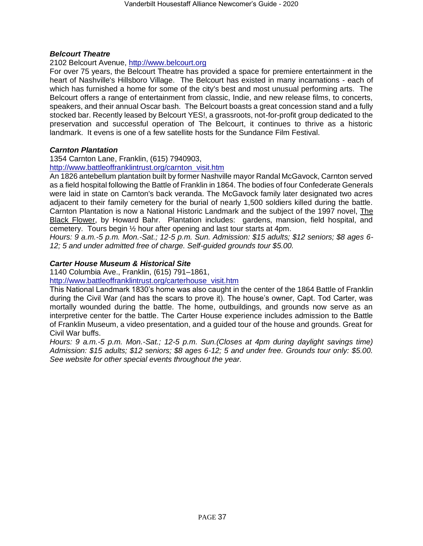### *Belcourt Theatre*

### 2102 Belcourt Avenue, [http://www.belcourt.org](http://www.belcourt.org/)

For over 75 years, the Belcourt Theatre has provided a space for premiere entertainment in the heart of Nashville's Hillsboro Village. The Belcourt has existed in many incarnations - each of which has furnished a home for some of the city's best and most unusual performing arts. The Belcourt offers a range of entertainment from classic, Indie, and new release films, to concerts, speakers, and their annual Oscar bash. The Belcourt boasts a great concession stand and a fully stocked bar. Recently leased by Belcourt YES!, a grassroots, not-for-profit group dedicated to the preservation and successful operation of The Belcourt, it continues to thrive as a historic landmark. It evens is one of a few satellite hosts for the Sundance Film Festival.

### *Carnton Plantation*

1354 Carnton Lane, Franklin, (615) 7940903,

[http://www.battleoffranklintrust.org/carnton\\_visit.htm](http://www.battleoffranklintrust.org/carnton_visit.htm)

An 1826 antebellum plantation built by former Nashville mayor Randal McGavock, Carnton served as a field hospital following the Battle of Franklin in 1864. The bodies of four Confederate Generals were laid in state on Carnton's back veranda. The McGavock family later designated two acres adjacent to their family cemetery for the burial of nearly 1,500 soldiers killed during the battle. Carnton Plantation is now a National Historic Landmark and the subject of the 1997 novel, The Black Flower, by Howard Bahr. Plantation includes: gardens, mansion, field hospital, and cemetery. Tours begin ½ hour after opening and last tour starts at 4pm.

*Hours: 9 a.m.-5 p.m. Mon.-Sat.; 12-5 p.m. Sun. Admission: \$15 adults; \$12 seniors; \$8 ages 6- 12; 5 and under admitted free of charge. Self-guided grounds tour \$5.00.*

### *Carter House Museum & Historical Site*

1140 Columbia Ave., Franklin, (615) 791–1861,

[http://www.battleoffranklintrust.org/carterhouse\\_visit.htm](http://www.battleoffranklintrust.org/carterhouse_visit.htm)

This National Landmark 1830's home was also caught in the center of the 1864 Battle of Franklin during the Civil War (and has the scars to prove it). The house's owner, Capt. Tod Carter, was mortally wounded during the battle. The home, outbuildings, and grounds now serve as an interpretive center for the battle. The Carter House experience includes admission to the Battle of Franklin Museum, a video presentation, and a guided tour of the house and grounds. Great for Civil War buffs.

*Hours: 9 a.m.-5 p.m. Mon.-Sat.; 12-5 p.m. Sun.(Closes at 4pm during daylight savings time) Admission: \$15 adults; \$12 seniors; \$8 ages 6-12; 5 and under free. Grounds tour only: \$5.00. See website for other special events throughout the year.*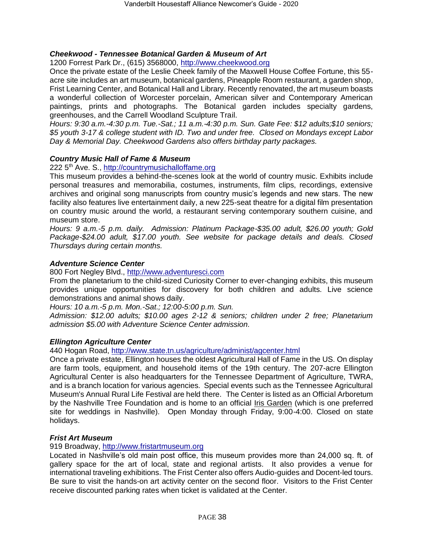### *Cheekwood - Tennessee Botanical Garden & Museum of Art*

1200 Forrest Park Dr., (615) 3568000, [http://www.cheekwood.org](http://www.cheekwood.org/)

Once the private estate of the Leslie Cheek family of the Maxwell House Coffee Fortune, this 55 acre site includes an art museum, botanical gardens, Pineapple Room restaurant, a garden shop, Frist Learning Center, and Botanical Hall and Library. Recently renovated, the art museum boasts a wonderful collection of Worcester porcelain, American silver and Contemporary American paintings, prints and photographs. The Botanical garden includes specialty gardens, greenhouses, and the Carrell Woodland Sculpture Trail.

*Hours: 9:30 a.m.-4:30 p.m. Tue.-Sat.; 11 a.m.-4:30 p.m. Sun. Gate Fee: \$12 adults;\$10 seniors; \$5 youth 3-17 & college student with ID. Two and under free. Closed on Mondays except Labor Day & Memorial Day. Cheekwood Gardens also offers birthday party packages.*

### *Country Music Hall of Fame & Museum*

222 5th Ave. S., [http://countrymusichalloffame.org](http://countrymusichalloffame.org/)

This museum provides a behind-the-scenes look at the world of country music. Exhibits include personal treasures and memorabilia, costumes, instruments, film clips, recordings, extensive archives and original song manuscripts from country music's legends and new stars. The new facility also features live entertainment daily, a new 225-seat theatre for a digital film presentation on country music around the world, a restaurant serving contemporary southern cuisine, and museum store.

*Hours: 9 a.m.-5 p.m. daily. Admission: Platinum Package-\$35.00 adult, \$26.00 youth; Gold Package-\$24.00 adult, \$17.00 youth. See website for package details and deals. Closed Thursdays during certain months.*

### *Adventure Science Center*

800 Fort Negley Blvd., [http://www.adventuresci.com](http://www.adventuresci.com/)

From the planetarium to the child-sized Curiosity Corner to ever-changing exhibits, this museum provides unique opportunities for discovery for both children and adults. Live science demonstrations and animal shows daily.

*Hours: 10 a.m.-5 p.m. Mon.-Sat.; 12:00-5:00 p.m. Sun.* 

*Admission: \$12.00 adults; \$10.00 ages 2-12 & seniors; children under 2 free; Planetarium admission \$5.00 with Adventure Science Center admission.*

### *Ellington Agriculture Center*

440 Hogan Road,<http://www.state.tn.us/agriculture/administ/agcenter.html>

Once a private estate, Ellington houses the oldest Agricultural Hall of Fame in the US. On display are farm tools, equipment, and household items of the 19th century. The 207-acre Ellington Agricultural Center is also headquarters for the Tennessee Department of Agriculture, TWRA, and is a branch location for various agencies. Special events such as the Tennessee Agricultural Museum's Annual Rural Life Festival are held there. The Center is listed as an Official Arboretum by the Nashville Tree Foundation and is home to an official [Iris Garden](http://www.state.tn.us/agriculture/administ/iris.html) (which is one preferred site for weddings in Nashville). Open Monday through Friday, 9:00-4:00. Closed on state holidays.

### *Frist Art Museum*

#### 919 Broadway, [http://www.fristartmuseum.org](http://www.fristartmuseum.org/)

Located in Nashville's old main post office, this museum provides more than 24,000 sq. ft. of gallery space for the art of local, state and regional artists. It also provides a venue for international traveling exhibitions. The Frist Center also offers Audio-guides and Docent-led tours. Be sure to visit the hands-on art activity center on the second floor. Visitors to the Frist Center receive discounted parking rates when ticket is validated at the Center.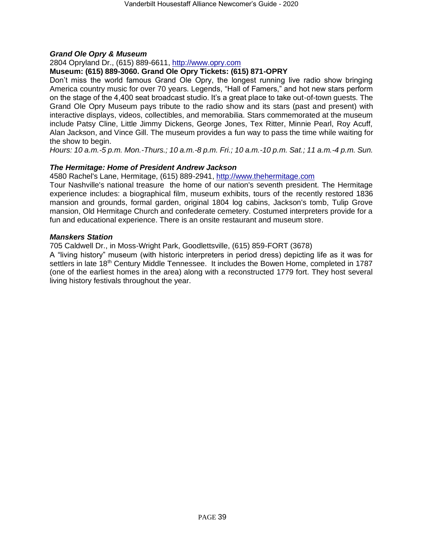### *Grand Ole Opry & Museum*

### 2804 Opryland Dr., (615) 889-6611, [http://www.opry.com](http://www.opry.com/)

### **Museum: (615) 889-3060. Grand Ole Opry Tickets: (615) 871-OPRY**

Don't miss the world famous Grand Ole Opry, the longest running live radio show bringing America country music for over 70 years. Legends, "Hall of Famers," and hot new stars perform on the stage of the 4,400 seat broadcast studio. It's a great place to take out-of-town guests. The Grand Ole Opry Museum pays tribute to the radio show and its stars (past and present) with interactive displays, videos, collectibles, and memorabilia. Stars commemorated at the museum include Patsy Cline, Little Jimmy Dickens, George Jones, Tex Ritter, Minnie Pearl, Roy Acuff, Alan Jackson, and Vince Gill. The museum provides a fun way to pass the time while waiting for the show to begin.

*Hours: 10 a.m.-5 p.m. Mon.-Thurs.; 10 a.m.-8 p.m. Fri.; 10 a.m.-10 p.m. Sat.; 11 a.m.-4 p.m. Sun.*

### *The Hermitage: Home of President Andrew Jackson*

4580 Rachel's Lane, Hermitage, (615) 889-2941, [http://www.thehermitage.com](http://www.thehermitage.com/)

Tour Nashville's national treasure the home of our nation's seventh president. The Hermitage experience includes: a biographical film, museum exhibits, tours of the recently restored 1836 mansion and grounds, formal garden, original 1804 log cabins, Jackson's tomb, Tulip Grove mansion, Old Hermitage Church and confederate cemetery. Costumed interpreters provide for a fun and educational experience. There is an onsite restaurant and museum store.

### *Manskers Station*

705 Caldwell Dr., in Moss-Wright Park, Goodlettsville, (615) 859-FORT (3678)

A "living history" museum (with historic interpreters in period dress) depicting life as it was for settlers in late 18<sup>th</sup> Century Middle Tennessee. It includes the Bowen Home, completed in 1787 (one of the earliest homes in the area) along with a reconstructed 1779 fort. They host several living history festivals throughout the year.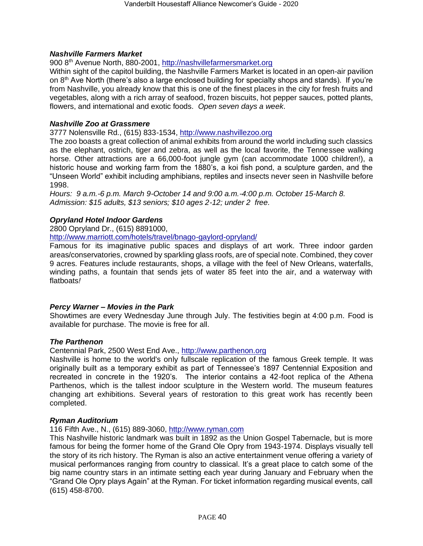#### *Nashville Farmers Market*

900 8th Avenue North, 880-2001, [http://nashvillefarmersmarket.org](http://nashvillefarmersmarket.org/)

Within sight of the capitol building, the Nashville Farmers Market is located in an open-air pavilion on 8<sup>th</sup> Ave North (there's also a large enclosed building for specialty shops and stands). If you're from Nashville, you already know that this is one of the finest places in the city for fresh fruits and vegetables, along with a rich array of seafood, frozen biscuits, hot pepper sauces, potted plants, flowers, and international and exotic foods. *Open seven days a week*.

### *Nashville Zoo at Grassmere*

3777 Nolensville Rd., (615) 833-1534, [http://www.nashvillezoo.org](http://www.nashvillezoo.org/)

The zoo boasts a great collection of animal exhibits from around the world including such classics as the elephant, ostrich, tiger and zebra, as well as the local favorite, the Tennessee walking horse. Other attractions are a 66,000-foot jungle gym (can accommodate 1000 children!), a historic house and working farm from the 1880's, a koi fish pond, a sculpture garden, and the "Unseen World" exhibit including amphibians, reptiles and insects never seen in Nashville before 1998.

*Hours: 9 a.m.-6 p.m. March 9-October 14 and 9:00 a.m.-4:00 p.m. October 15-March 8. Admission: \$15 adults, \$13 seniors; \$10 ages 2-12; under 2 free.*

### *Opryland Hotel Indoor Gardens*

2800 Opryland Dr., (615) 8891000,

<http://www.marriott.com/hotels/travel/bnago-gaylord-opryland/>

Famous for its imaginative public spaces and displays of art work. Three indoor garden areas/conservatories, crowned by sparkling glass roofs, are of special note. Combined, they cover 9 acres. Features include restaurants, shops, a village with the feel of New Orleans, waterfalls, winding paths, a fountain that sends jets of water 85 feet into the air, and a waterway with flatboats*!* 

#### *Percy Warner – Movies in the Park*

Showtimes are every Wednesday June through July. The festivities begin at 4:00 p.m. Food is available for purchase. The movie is free for all.

#### *The Parthenon*

Centennial Park, 2500 West End Ave., [http://www.parthenon.org](http://www.parthenon.org/)

Nashville is home to the world's only fullscale replication of the famous Greek temple. It was originally built as a temporary exhibit as part of Tennessee's 1897 Centennial Exposition and recreated in concrete in the 1920's. The interior contains a 42-foot replica of the Athena Parthenos, which is the tallest indoor sculpture in the Western world. The museum features changing art exhibitions. Several years of restoration to this great work has recently been completed.

#### *Ryman Auditorium*

116 Fifth Ave., N., (615) 889-3060, [http://www.ryman.com](http://www.ryman.com/)

This Nashville historic landmark was built in 1892 as the Union Gospel Tabernacle, but is more famous for being the former home of the Grand Ole Opry from 1943-1974. Displays visually tell the story of its rich history. The Ryman is also an active entertainment venue offering a variety of musical performances ranging from country to classical. It's a great place to catch some of the big name country stars in an intimate setting each year during January and February when the "Grand Ole Opry plays Again" at the Ryman. For ticket information regarding musical events, call (615) 458-8700.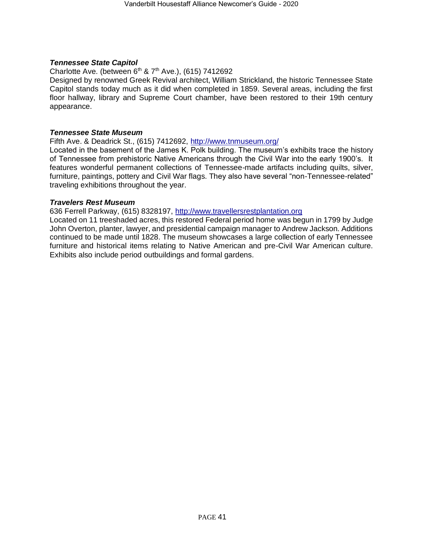### *Tennessee State Capitol*

Charlotte Ave. (between  $6<sup>th</sup>$  &  $7<sup>th</sup>$  Ave.), (615) 7412692

Designed by renowned Greek Revival architect, William Strickland, the historic Tennessee State Capitol stands today much as it did when completed in 1859. Several areas, including the first floor hallway, library and Supreme Court chamber, have been restored to their 19th century appearance.

#### *Tennessee State Museum*

Fifth Ave. & Deadrick St., (615) 7412692,<http://www.tnmuseum.org/>

Located in the basement of the James K. Polk building. The museum's exhibits trace the history of Tennessee from prehistoric Native Americans through the Civil War into the early 1900's. It features wonderful permanent collections of Tennessee-made artifacts including quilts, silver, furniture, paintings, pottery and Civil War flags. They also have several "non-Tennessee-related" traveling exhibitions throughout the year.

#### *Travelers Rest Museum*

636 Ferrell Parkway, (615) 8328197, [http://www.travellersrestplantation.org](http://www.travellersrestplantation.org/)

<span id="page-40-0"></span>Located on 11 treeshaded acres, this restored Federal period home was begun in 1799 by Judge John Overton, planter, lawyer, and presidential campaign manager to Andrew Jackson. Additions continued to be made until 1828. The museum showcases a large collection of early Tennessee furniture and historical items relating to Native American and pre-Civil War American culture. Exhibits also include period outbuildings and formal gardens.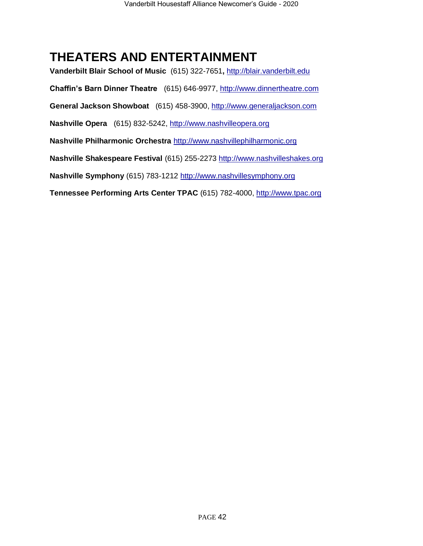## **THEATERS AND ENTERTAINMENT**

**Vanderbilt Blair School of Music** (615) 322-7651**,** [http://blair.vanderbilt.edu](http://blair.vanderbilt.edu/) **Chaffin's Barn Dinner Theatre** (615) 646-9977, [http://www.dinnertheatre.com](http://www.dinnertheatre.com/) **General Jackson Showboat** (615) 458-3900, [http://www.generaljackson.com](http://www.generaljackson.com/) **Nashville Opera** (615) 832-5242, [http://www.nashvilleopera.org](http://www.nashvilleopera.org/) **Nashville Philharmonic Orchestra** [http://www.nashvillephilharmonic.org](http://www.nashvillephilharmonic.org/) **Nashville Shakespeare Festival** (615) 255-2273 [http://www.nashvilleshakes.org](http://www.nashvilleshakes.org/) **Nashville Symphony** (615) 783-1212 [http://www.nashvillesymphony.org](http://www.nashvillesymphony.org/) **Tennessee Performing Arts Center TPAC** (615) 782-4000, [http://www.tpac.org](http://www.tpac.org/)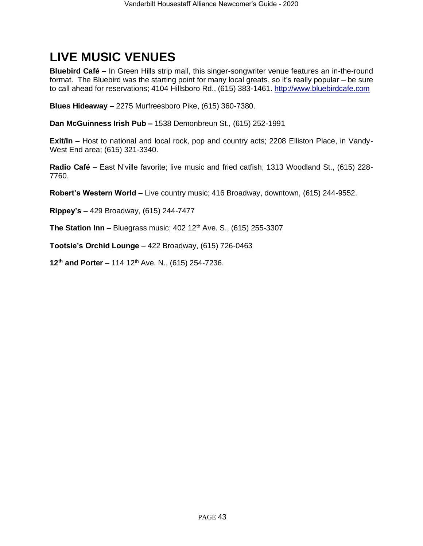## <span id="page-42-0"></span>**LIVE MUSIC VENUES**

**Bluebird Café –** In Green Hills strip mall, this singer-songwriter venue features an in-the-round format. The Bluebird was the starting point for many local greats, so it's really popular – be sure to call ahead for reservations; 4104 Hillsboro Rd., (615) 383-1461. [http://www.bluebirdcafe.com](http://www.bluebirdcafe.com/)

**Blues Hideaway –** 2275 Murfreesboro Pike, (615) 360-7380.

**Dan McGuinness Irish Pub –** 1538 Demonbreun St., (615) 252-1991

**Exit/In –** Host to national and local rock, pop and country acts; 2208 Elliston Place, in Vandy-West End area; (615) 321-3340.

**Radio Café –** East N'ville favorite; live music and fried catfish; 1313 Woodland St., (615) 228- 7760.

**Robert's Western World –** Live country music; 416 Broadway, downtown, (615) 244-9552.

**Rippey's –** 429 Broadway, (615) 244-7477

**The Station Inn –** Bluegrass music; 402 12<sup>th</sup> Ave. S., (615) 255-3307

**Tootsie's Orchid Lounge** – 422 Broadway, (615) 726-0463

<span id="page-42-1"></span>**12th and Porter –** 114 12th Ave. N., (615) 254-7236.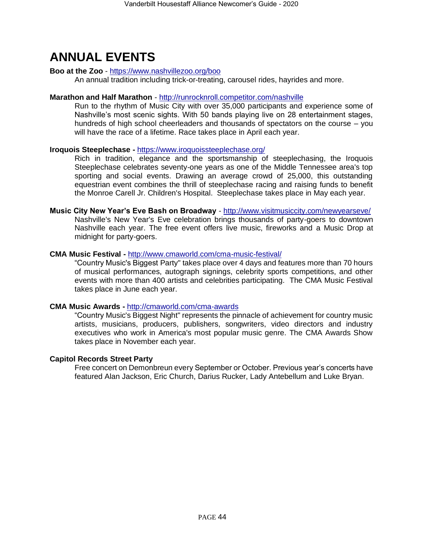## **ANNUAL EVENTS**

### **Boo at the Zoo** - <https://www.nashvillezoo.org/boo>

An annual tradition including trick-or-treating, carousel rides, hayrides and more.

#### **Marathon and Half Marathon** - <http://runrocknroll.competitor.com/nashville>

Run to the rhythm of Music City with over 35,000 participants and experience some of Nashville's most scenic sights. With 50 bands playing live on 28 entertainment stages, hundreds of high school cheerleaders and thousands of spectators on the course – you will have the race of a lifetime. Race takes place in April each year.

### **Iroquois Steeplechase -** <https://www.iroquoissteeplechase.org/>

Rich in tradition, elegance and the sportsmanship of steeplechasing, the Iroquois Steeplechase celebrates seventy-one years as one of the Middle Tennessee area's top sporting and social events. Drawing an average crowd of 25,000, this outstanding equestrian event combines the thrill of steeplechase racing and raising funds to benefit the Monroe Carell Jr. Children's Hospital. Steeplechase takes place in May each year.

#### **Music City New Year's Eve Bash on Broadway** - <http://www.visitmusiccity.com/newyearseve/> Nashville's New Year's Eve celebration brings thousands of party-goers to downtown Nashville each year. The free event offers live music, fireworks and a Music Drop at midnight for party-goers.

### **CMA Music Festival -** <http://www.cmaworld.com/cma-music-festival/>

"Country Music's Biggest Party" takes place over 4 days and features more than 70 hours of musical performances, autograph signings, celebrity sports competitions, and other events with more than 400 artists and celebrities participating. The CMA Music Festival takes place in June each year.

#### **CMA Music Awards -** <http://cmaworld.com/cma-awards>

"Country Music's Biggest Night" represents the pinnacle of achievement for country music artists, musicians, producers, publishers, songwriters, video directors and industry executives who work in America's most popular music genre. The CMA Awards Show takes place in November each year.

### **Capitol Records Street Party**

Free concert on Demonbreun every September or October. Previous year's concerts have featured Alan Jackson, Eric Church, Darius Rucker, Lady Antebellum and Luke Bryan.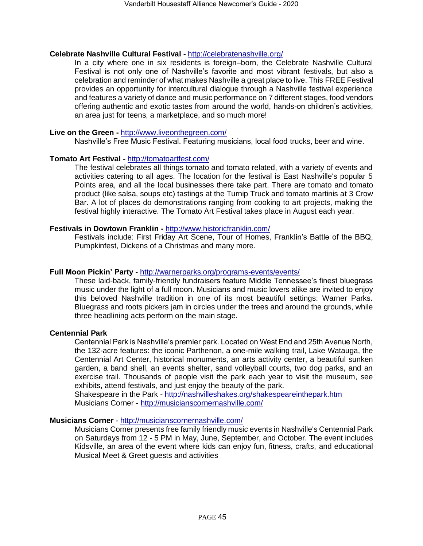#### **Celebrate Nashville Cultural Festival -** <http://celebratenashville.org/>

In a city where one in six residents is foreign–born, the Celebrate Nashville Cultural Festival is not only one of Nashville's favorite and most vibrant festivals, but also a celebration and reminder of what makes Nashville a great place to live. This FREE Festival provides an opportunity for intercultural dialogue through a Nashville festival experience and features a variety of dance and music performance on 7 different stages, food vendors offering authentic and exotic tastes from around the world, hands-on children's activities, an area just for teens, a marketplace, and so much more!

#### **Live on the Green -** <http://www.liveonthegreen.com/>

Nashville's Free Music Festival. Featuring musicians, local food trucks, beer and wine.

#### **Tomato Art Festival -** <http://tomatoartfest.com/>

The festival celebrates all things tomato and tomato related, with a variety of events and activities catering to all ages. The location for the festival is East Nashville's popular 5 Points area, and all the local businesses there take part. There are tomato and tomato product (like salsa, soups etc) tastings at the Turnip Truck and tomato martinis at 3 Crow Bar. A lot of places do demonstrations ranging from cooking to art projects, making the festival highly interactive. The Tomato Art Festival takes place in August each year.

#### **Festivals in Dowtown Franklin -** <http://www.historicfranklin.com/>

Festivals include: First Friday Art Scene, Tour of Homes, Franklin's Battle of the BBQ, Pumpkinfest, Dickens of a Christmas and many more.

#### **Full Moon Pickin' Party -** <http://warnerparks.org/programs-events/events/>

These laid-back, family-friendly fundraisers feature Middle Tennessee's finest bluegrass music under the light of a full moon. Musicians and music lovers alike are invited to enjoy this beloved Nashville tradition in one of its most beautiful settings: Warner Parks. Bluegrass and roots pickers jam in circles under the trees and around the grounds, while three headlining acts perform on the main stage.

#### **Centennial Park**

Centennial Park is Nashville's premier park. Located on West End and 25th Avenue North, the 132-acre features: the iconic Parthenon, a one-mile walking trail, Lake Watauga, the Centennial Art Center, historical monuments, an arts activity center, a beautiful sunken garden, a band shell, an events shelter, sand volleyball courts, two dog parks, and an exercise trail. Thousands of people visit the park each year to visit the museum, see exhibits, attend festivals, and just enjoy the beauty of the park.

Shakespeare in the Park - <http://nashvilleshakes.org/shakespeareinthepark.htm> Musicians Corner - <http://musicianscornernashville.com/>

#### **Musicians Corner** - <http://musicianscornernashville.com/>

Musicians Corner presents free family friendly music events in Nashville's Centennial Park on Saturdays from 12 - 5 PM in May, June, September, and October. The event includes Kidsville, an area of the event where kids can enjoy fun, fitness, crafts, and educational Musical Meet & Greet guests and activities